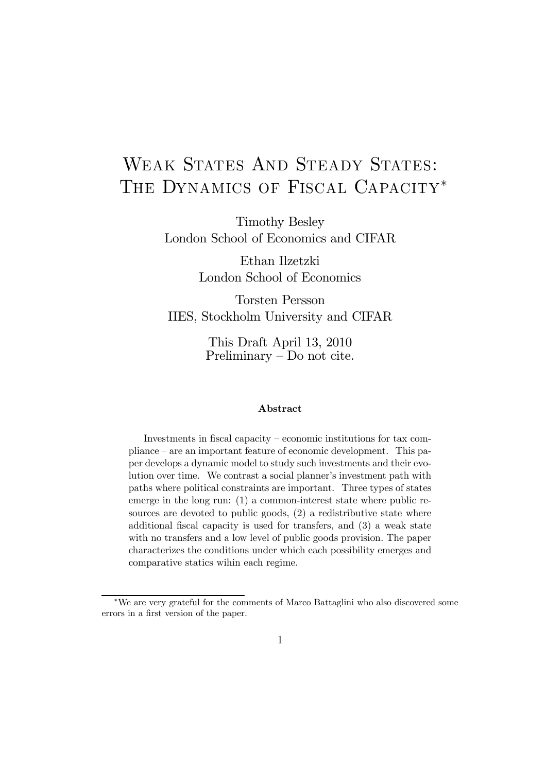# WEAK STATES AND STEADY STATES: THE DYNAMICS OF FISCAL CAPACITY<sup>\*</sup>

Timothy Besley London School of Economics and CIFAR

> Ethan Ilzetzki London School of Economics

Torsten Persson IIES, Stockholm University and CIFAR

> This Draft April 13, 2010 Preliminary — Do not cite.

#### Abstract

Investments in fiscal capacity — economic institutions for tax compliance — are an important feature of economic development. This paper develops a dynamic model to study such investments and their evolution over time. We contrast a social planner's investment path with paths where political constraints are important. Three types of states emerge in the long run: (1) a common-interest state where public resources are devoted to public goods, (2) a redistributive state where additional fiscal capacity is used for transfers, and (3) a weak state with no transfers and a low level of public goods provision. The paper characterizes the conditions under which each possibility emerges and comparative statics wihin each regime.

<sup>∗</sup>We are very grateful for the comments of Marco Battaglini who also discovered some errors in a first version of the paper.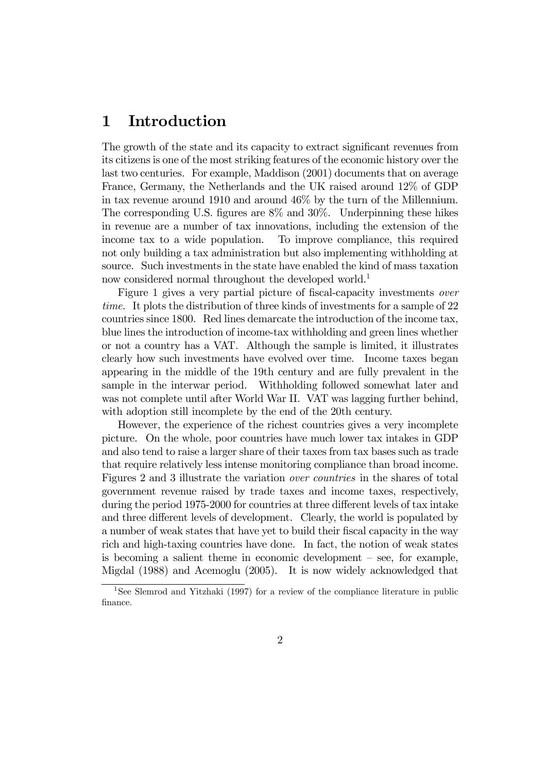## 1 Introduction

The growth of the state and its capacity to extract significant revenues from its citizens is one of the most striking features of the economic history over the last two centuries. For example, Maddison (2001) documents that on average France, Germany, the Netherlands and the UK raised around 12% of GDP in tax revenue around 1910 and around 46% by the turn of the Millennium. The corresponding U.S. figures are 8% and 30%. Underpinning these hikes in revenue are a number of tax innovations, including the extension of the income tax to a wide population. To improve compliance, this required not only building a tax administration but also implementing withholding at source. Such investments in the state have enabled the kind of mass taxation now considered normal throughout the developed world.<sup>1</sup>

Figure 1 gives a very partial picture of fiscal-capacity investments over time. It plots the distribution of three kinds of investments for a sample of 22 countries since 1800. Red lines demarcate the introduction of the income tax, blue lines the introduction of income-tax withholding and green lines whether or not a country has a VAT. Although the sample is limited, it illustrates clearly how such investments have evolved over time. Income taxes began appearing in the middle of the 19th century and are fully prevalent in the sample in the interwar period. Withholding followed somewhat later and was not complete until after World War II. VAT was lagging further behind, with adoption still incomplete by the end of the 20th century.

However, the experience of the richest countries gives a very incomplete picture. On the whole, poor countries have much lower tax intakes in GDP and also tend to raise a larger share of their taxes from tax bases such as trade that require relatively less intense monitoring compliance than broad income. Figures 2 and 3 illustrate the variation over countries in the shares of total government revenue raised by trade taxes and income taxes, respectively, during the period 1975-2000 for countries at three different levels of tax intake and three different levels of development. Clearly, the world is populated by a number of weak states that have yet to build their fiscal capacity in the way rich and high-taxing countries have done. In fact, the notion of weak states is becoming a salient theme in economic development — see, for example, Migdal (1988) and Acemoglu (2005). It is now widely acknowledged that

<sup>&</sup>lt;sup>1</sup>See Slemrod and Yitzhaki (1997) for a review of the compliance literature in public finance.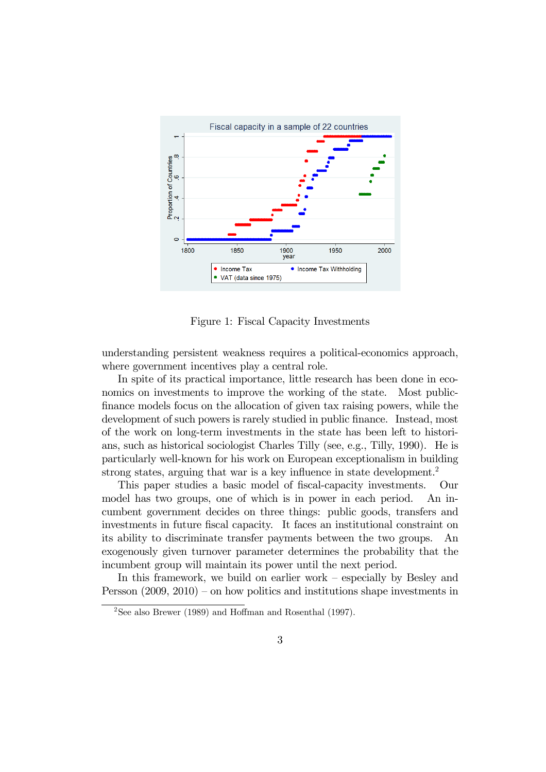

Figure 1: Fiscal Capacity Investments

understanding persistent weakness requires a political-economics approach, where government incentives play a central role.

In spite of its practical importance, little research has been done in economics on investments to improve the working of the state. Most publicfinance models focus on the allocation of given tax raising powers, while the development of such powers is rarely studied in public finance. Instead, most of the work on long-term investments in the state has been left to historians, such as historical sociologist Charles Tilly (see, e.g., Tilly, 1990). He is particularly well-known for his work on European exceptionalism in building strong states, arguing that war is a key influence in state development.<sup>2</sup>

This paper studies a basic model of fiscal-capacity investments. Our model has two groups, one of which is in power in each period. An incumbent government decides on three things: public goods, transfers and investments in future fiscal capacity. It faces an institutional constraint on its ability to discriminate transfer payments between the two groups. An exogenously given turnover parameter determines the probability that the incumbent group will maintain its power until the next period.

In this framework, we build on earlier work — especially by Besley and Persson (2009, 2010) — on how politics and institutions shape investments in

<sup>2</sup>See also Brewer (1989) and Hoffman and Rosenthal (1997).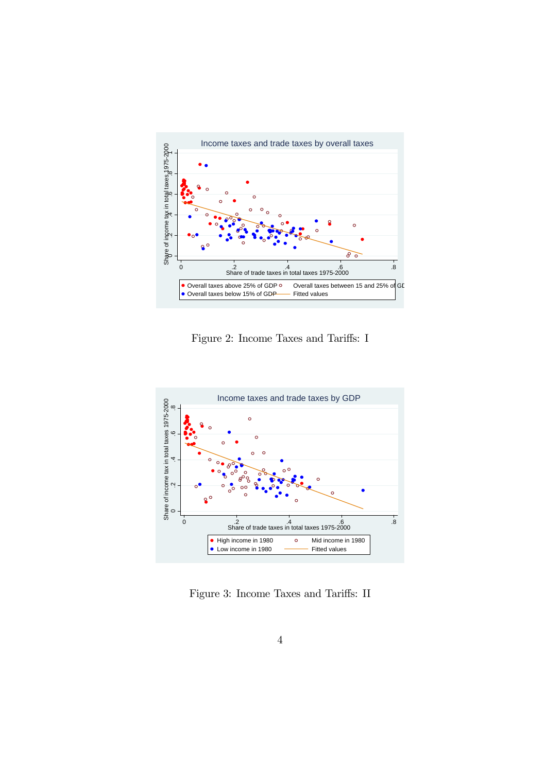

Figure 2: Income Taxes and Tariffs: I



Figure 3: Income Taxes and Tariffs: II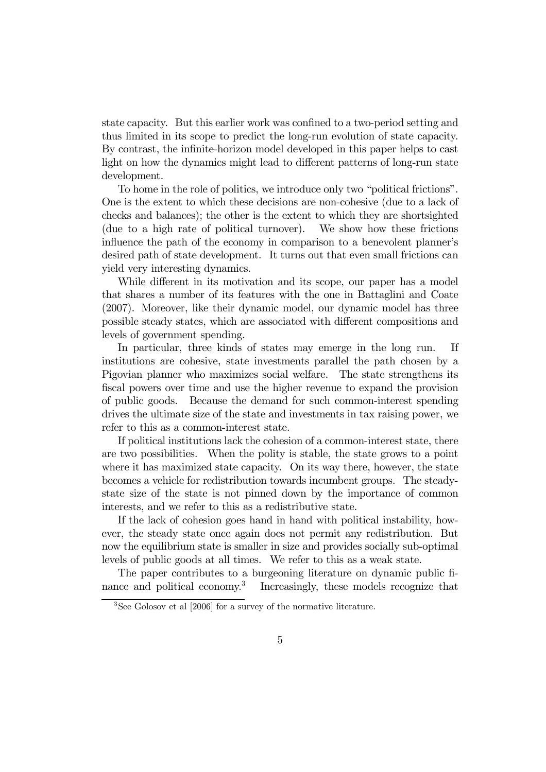state capacity. But this earlier work was confined to a two-period setting and thus limited in its scope to predict the long-run evolution of state capacity. By contrast, the infinite-horizon model developed in this paper helps to cast light on how the dynamics might lead to different patterns of long-run state development.

To home in the role of politics, we introduce only two "political frictions". One is the extent to which these decisions are non-cohesive (due to a lack of checks and balances); the other is the extent to which they are shortsighted (due to a high rate of political turnover). We show how these frictions influence the path of the economy in comparison to a benevolent planner's desired path of state development. It turns out that even small frictions can yield very interesting dynamics.

While different in its motivation and its scope, our paper has a model that shares a number of its features with the one in Battaglini and Coate (2007). Moreover, like their dynamic model, our dynamic model has three possible steady states, which are associated with different compositions and levels of government spending.

In particular, three kinds of states may emerge in the long run. If institutions are cohesive, state investments parallel the path chosen by a Pigovian planner who maximizes social welfare. The state strengthens its fiscal powers over time and use the higher revenue to expand the provision of public goods. Because the demand for such common-interest spending drives the ultimate size of the state and investments in tax raising power, we refer to this as a common-interest state.

If political institutions lack the cohesion of a common-interest state, there are two possibilities. When the polity is stable, the state grows to a point where it has maximized state capacity. On its way there, however, the state becomes a vehicle for redistribution towards incumbent groups. The steadystate size of the state is not pinned down by the importance of common interests, and we refer to this as a redistributive state.

If the lack of cohesion goes hand in hand with political instability, however, the steady state once again does not permit any redistribution. But now the equilibrium state is smaller in size and provides socially sub-optimal levels of public goods at all times. We refer to this as a weak state.

The paper contributes to a burgeoning literature on dynamic public finance and political economy.<sup>3</sup> Increasingly, these models recognize that

<sup>3</sup>See Golosov et al [2006] for a survey of the normative literature.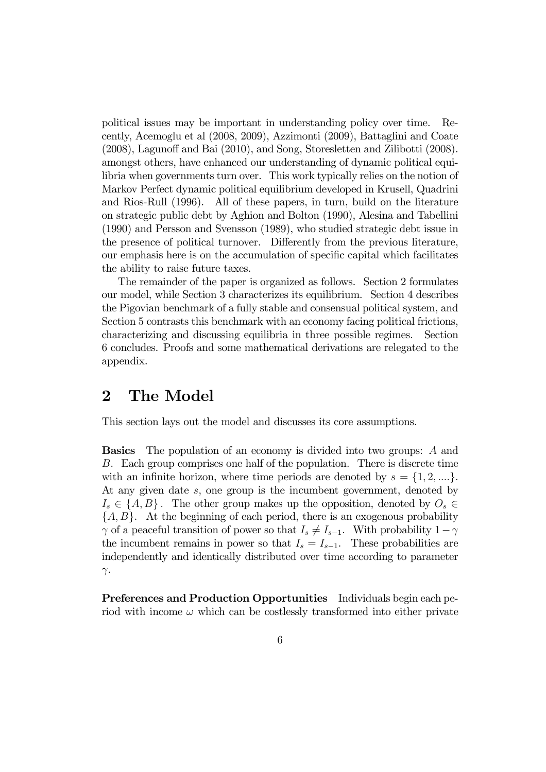political issues may be important in understanding policy over time. Recently, Acemoglu et al (2008, 2009), Azzimonti (2009), Battaglini and Coate (2008), Lagunoff and Bai (2010), and Song, Storesletten and Zilibotti (2008). amongst others, have enhanced our understanding of dynamic political equilibria when governments turn over. This work typically relies on the notion of Markov Perfect dynamic political equilibrium developed in Krusell, Quadrini and Rios-Rull (1996). All of these papers, in turn, build on the literature on strategic public debt by Aghion and Bolton (1990), Alesina and Tabellini (1990) and Persson and Svensson (1989), who studied strategic debt issue in the presence of political turnover. Differently from the previous literature, our emphasis here is on the accumulation of specific capital which facilitates the ability to raise future taxes.

The remainder of the paper is organized as follows. Section 2 formulates our model, while Section 3 characterizes its equilibrium. Section 4 describes the Pigovian benchmark of a fully stable and consensual political system, and Section 5 contrasts this benchmark with an economy facing political frictions, characterizing and discussing equilibria in three possible regimes. Section 6 concludes. Proofs and some mathematical derivations are relegated to the appendix.

## 2 The Model

This section lays out the model and discusses its core assumptions.

Basics The population of an economy is divided into two groups: A and B. Each group comprises one half of the population. There is discrete time with an infinite horizon, where time periods are denoted by  $s = \{1, 2, ...\}$ . At any given date s, one group is the incumbent government, denoted by  $I_s \in \{A, B\}$ . The other group makes up the opposition, denoted by  $O_s \in$  ${A, B}$ . At the beginning of each period, there is an exogenous probability  $\gamma$  of a peaceful transition of power so that  $I_s \neq I_{s-1}$ . With probability  $1-\gamma$ the incumbent remains in power so that  $I_s = I_{s-1}$ . These probabilities are independently and identically distributed over time according to parameter  $γ$ .

Preferences and Production Opportunities Individuals begin each period with income  $\omega$  which can be costlessly transformed into either private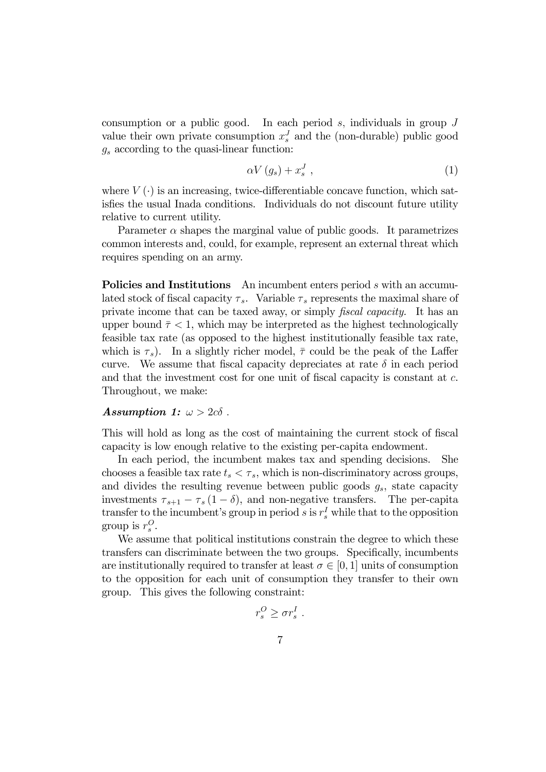consumption or a public good. In each period s, individuals in group  $J$ value their own private consumption  $x_s^J$  and the (non-durable) public good  $g_s$  according to the quasi-linear function:

$$
\alpha V\left(g_s\right) + x_s^J\tag{1}
$$

where  $V(\cdot)$  is an increasing, twice-differentiable concave function, which satisfies the usual Inada conditions. Individuals do not discount future utility relative to current utility.

Parameter  $\alpha$  shapes the marginal value of public goods. It parametrizes common interests and, could, for example, represent an external threat which requires spending on an army.

Policies and Institutions An incumbent enters period s with an accumulated stock of fiscal capacity  $\tau_s$ . Variable  $\tau_s$  represents the maximal share of private income that can be taxed away, or simply *fiscal capacity*. It has an upper bound  $\bar{\tau}$  < 1, which may be interpreted as the highest technologically feasible tax rate (as opposed to the highest institutionally feasible tax rate, which is  $\tau_s$ ). In a slightly richer model,  $\bar{\tau}$  could be the peak of the Laffer curve. We assume that fiscal capacity depreciates at rate  $\delta$  in each period and that the investment cost for one unit of fiscal capacity is constant at c. Throughout, we make:

#### Assumption 1:  $\omega > 2c\delta$ .

This will hold as long as the cost of maintaining the current stock of fiscal capacity is low enough relative to the existing per-capita endowment.

In each period, the incumbent makes tax and spending decisions. She chooses a feasible tax rate  $t_s < \tau_s$ , which is non-discriminatory across groups, and divides the resulting revenue between public goods  $g_s$ , state capacity investments  $\tau_{s+1} - \tau_s (1 - \delta)$ , and non-negative transfers. The per-capita transfer to the incumbent's group in period s is  $r_s^I$  while that to the opposition group is  $r_s^O$ .

We assume that political institutions constrain the degree to which these transfers can discriminate between the two groups. Specifically, incumbents are institutionally required to transfer at least  $\sigma \in [0, 1]$  units of consumption to the opposition for each unit of consumption they transfer to their own group. This gives the following constraint:

$$
r_s^O \geq \sigma r_s^I.
$$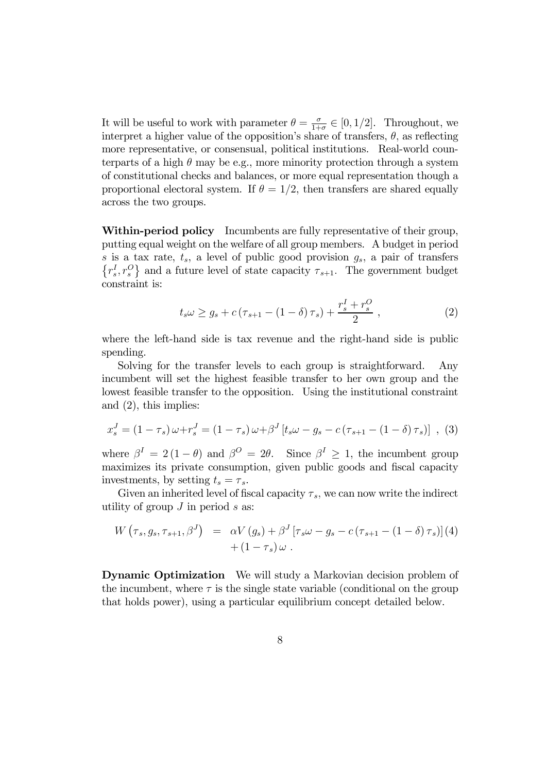It will be useful to work with parameter  $\theta = \frac{\sigma}{1+\sigma} \in [0, 1/2]$ . Throughout, we interpret a higher value of the opposition's share of transfers,  $\theta$ , as reflecting more representative, or consensual, political institutions. Real-world counterparts of a high  $\theta$  may be e.g., more minority protection through a system of constitutional checks and balances, or more equal representation though a proportional electoral system. If  $\theta = 1/2$ , then transfers are shared equally across the two groups.

Within-period policy Incumbents are fully representative of their group, putting equal weight on the welfare of all group members. A budget in period s is a tax rate,  $t_s$ , a level of public good provision  $g_s$ , a pair of transfers  $\{r_s^I, r_s^O\}$  and a future level of state capacity  $\tau_{s+1}$ . The government budget constraint is:

$$
t_{s}\omega \geq g_{s} + c\left(\tau_{s+1} - (1-\delta)\,\tau_{s}\right) + \frac{r_{s}^{I} + r_{s}^{O}}{2},\tag{2}
$$

where the left-hand side is tax revenue and the right-hand side is public spending.

Solving for the transfer levels to each group is straightforward. Any incumbent will set the highest feasible transfer to her own group and the lowest feasible transfer to the opposition. Using the institutional constraint and (2), this implies:

$$
x_s^J = (1 - \tau_s) \omega + r_s^J = (1 - \tau_s) \omega + \beta^J \left[ t_s \omega - g_s - c \left( \tau_{s+1} - (1 - \delta) \tau_s \right) \right], \tag{3}
$$

where  $\beta^I = 2(1 - \theta)$  and  $\beta^O = 2\theta$ . Since  $\beta^I \geq 1$ , the incumbent group maximizes its private consumption, given public goods and fiscal capacity investments, by setting  $t_s = \tau_s$ .

Given an inherited level of fiscal capacity  $\tau_s$ , we can now write the indirect utility of group  $J$  in period  $s$  as:

$$
W(\tau_s, g_s, \tau_{s+1}, \beta^J) = \alpha V(g_s) + \beta^J [\tau_s \omega - g_s - c (\tau_{s+1} - (1 - \delta) \tau_s)](4) + (1 - \tau_s) \omega.
$$

Dynamic Optimization We will study a Markovian decision problem of the incumbent, where  $\tau$  is the single state variable (conditional on the group that holds power), using a particular equilibrium concept detailed below.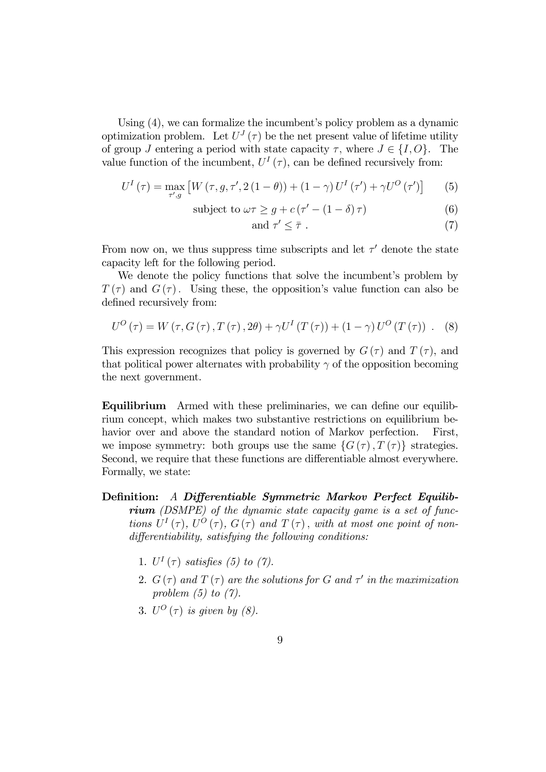Using (4), we can formalize the incumbent's policy problem as a dynamic optimization problem. Let  $U^{J}(\tau)$  be the net present value of lifetime utility of group J entering a period with state capacity  $\tau$ , where  $J \in \{I, O\}$ . The value function of the incumbent,  $U^{I}(\tau)$ , can be defined recursively from:

$$
U^{I}\left(\tau\right) = \max_{\tau', g} \left[ W\left(\tau, g, \tau', 2\left(1-\theta\right)\right) + \left(1-\gamma\right) U^{I}\left(\tau'\right) + \gamma U^{O}\left(\tau'\right) \right] \tag{5}
$$

subject to 
$$
\omega \tau \geq g + c(\tau' - (1 - \delta) \tau)
$$
 (6)

and 
$$
\tau' \leq \overline{\tau} . \tag{7}
$$

From now on, we thus suppress time subscripts and let  $\tau'$  denote the state capacity left for the following period.

We denote the policy functions that solve the incumbent's problem by  $T(\tau)$  and  $G(\tau)$ . Using these, the opposition's value function can also be defined recursively from:

$$
U^{O}(\tau) = W(\tau, G(\tau), T(\tau), 2\theta) + \gamma U^{I}(T(\tau)) + (1 - \gamma) U^{O}(T(\tau)) .
$$
 (8)

This expression recognizes that policy is governed by  $G(\tau)$  and  $T(\tau)$ , and that political power alternates with probability  $\gamma$  of the opposition becoming the next government.

Equilibrium Armed with these preliminaries, we can define our equilibrium concept, which makes two substantive restrictions on equilibrium behavior over and above the standard notion of Markov perfection. First, we impose symmetry: both groups use the same  $\{G(\tau), T(\tau)\}\$  strategies. Second, we require that these functions are differentiable almost everywhere. Formally, we state:

- Definition: A Differentiable Symmetric Markov Perfect Equilibrium (DSMPE) of the dynamic state capacity game is a set of functions  $U^{I}(\tau)$ ,  $U^{O}(\tau)$ ,  $G(\tau)$  and  $T(\tau)$ , with at most one point of nondifferentiability, satisfying the following conditions:
	- 1.  $U^I(\tau)$  satisfies (5) to (7).
	- 2.  $G(\tau)$  and  $T(\tau)$  are the solutions for G and  $\tau'$  in the maximization problem  $(5)$  to  $(7)$ .
	- 3.  $U^O(\tau)$  is given by (8).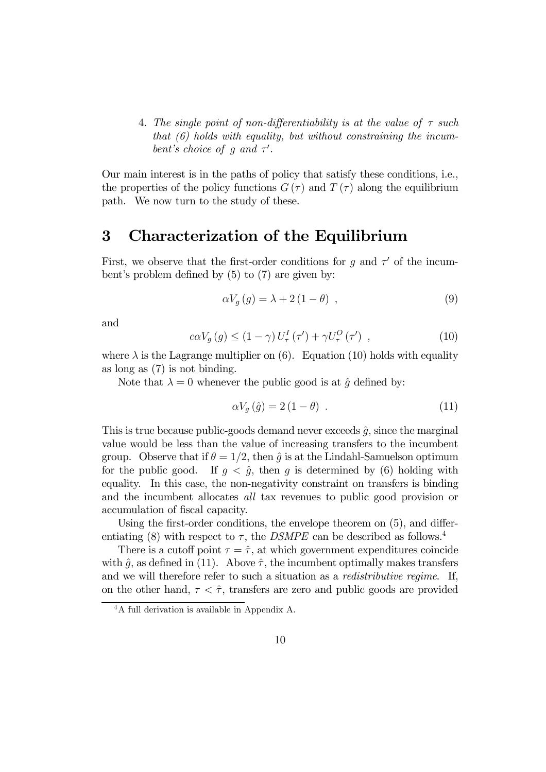4. The single point of non-differentiability is at the value of  $\tau$  such that  $(6)$  holds with equality, but without constraining the incumbent's choice of g and  $\tau'$ .

Our main interest is in the paths of policy that satisfy these conditions, i.e., the properties of the policy functions  $G(\tau)$  and  $T(\tau)$  along the equilibrium path. We now turn to the study of these.

### 3 Characterization of the Equilibrium

First, we observe that the first-order conditions for g and  $\tau'$  of the incumbent's problem defined by (5) to (7) are given by:

$$
\alpha V_g(g) = \lambda + 2(1 - \theta) , \qquad (9)
$$

and

$$
c\alpha V_g(g) \le (1 - \gamma) U_\tau^I(\tau') + \gamma U_\tau^O(\tau') , \qquad (10)
$$

where  $\lambda$  is the Lagrange multiplier on (6). Equation (10) holds with equality as long as (7) is not binding.

Note that  $\lambda = 0$  whenever the public good is at  $\hat{q}$  defined by:

$$
\alpha V_g(\hat{g}) = 2(1 - \theta) \tag{11}
$$

This is true because public-goods demand never exceeds  $\hat{q}$ , since the marginal value would be less than the value of increasing transfers to the incumbent group. Observe that if  $\theta = 1/2$ , then  $\hat{g}$  is at the Lindahl-Samuelson optimum for the public good. If  $g < \hat{g}$ , then g is determined by (6) holding with equality. In this case, the non-negativity constraint on transfers is binding and the incumbent allocates all tax revenues to public good provision or accumulation of fiscal capacity.

Using the first-order conditions, the envelope theorem on (5), and differentiating (8) with respect to  $\tau$ , the *DSMPE* can be described as follows.<sup>4</sup>

There is a cutoff point  $\tau = \hat{\tau}$ , at which government expenditures coincide with  $\hat{g}$ , as defined in (11). Above  $\hat{\tau}$ , the incumbent optimally makes transfers and we will therefore refer to such a situation as a redistributive regime. If, on the other hand,  $\tau < \hat{\tau}$ , transfers are zero and public goods are provided

<sup>&</sup>lt;sup>4</sup>A full derivation is available in Appendix A.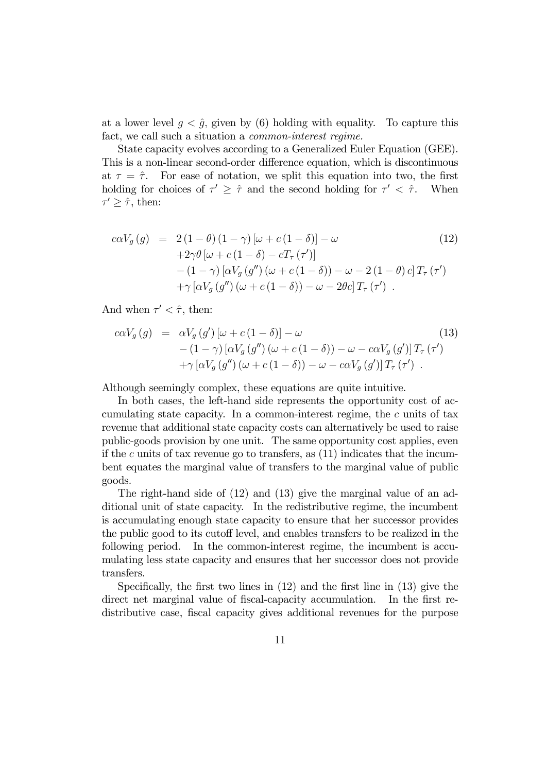at a lower level  $g < \hat{g}$ , given by (6) holding with equality. To capture this fact, we call such a situation a common-interest regime.

State capacity evolves according to a Generalized Euler Equation (GEE). This is a non-linear second-order difference equation, which is discontinuous at  $\tau = \hat{\tau}$ . For ease of notation, we split this equation into two, the first holding for choices of  $\tau' \geq \hat{\tau}$  and the second holding for  $\tau' < \hat{\tau}$ . When  $\tau' \geq \hat{\tau}$ , then:

$$
c\alpha V_g(g) = 2(1 - \theta)(1 - \gamma)[\omega + c(1 - \delta)] - \omega
$$
\n
$$
+2\gamma\theta [\omega + c(1 - \delta) - cT_\tau(\tau')]
$$
\n
$$
- (1 - \gamma)[\alpha V_g(g'')(\omega + c(1 - \delta)) - \omega - 2(1 - \theta)c]T_\tau(\tau')
$$
\n
$$
+ \gamma[\alpha V_g(g'')(\omega + c(1 - \delta)) - \omega - 2\theta c]T_\tau(\tau').
$$
\n(12)

And when  $\tau' < \hat{\tau}$ , then:

$$
c\alpha V_g(g) = \alpha V_g(g')\left[\omega + c(1-\delta)\right] - \omega \tag{13}
$$
  
 
$$
- (1-\gamma)\left[\alpha V_g(g'')\left(\omega + c(1-\delta)\right) - \omega - c\alpha V_g(g')\right]T_\tau(\tau')
$$
  
 
$$
+ \gamma\left[\alpha V_g(g'')\left(\omega + c(1-\delta)\right) - \omega - c\alpha V_g(g')\right]T_\tau(\tau').
$$

Although seemingly complex, these equations are quite intuitive.

In both cases, the left-hand side represents the opportunity cost of accumulating state capacity. In a common-interest regime, the  $c$  units of tax revenue that additional state capacity costs can alternatively be used to raise public-goods provision by one unit. The same opportunity cost applies, even if the  $c$  units of tax revenue go to transfers, as  $(11)$  indicates that the incumbent equates the marginal value of transfers to the marginal value of public goods.

The right-hand side of (12) and (13) give the marginal value of an additional unit of state capacity. In the redistributive regime, the incumbent is accumulating enough state capacity to ensure that her successor provides the public good to its cutoff level, and enables transfers to be realized in the following period. In the common-interest regime, the incumbent is accumulating less state capacity and ensures that her successor does not provide transfers.

Specifically, the first two lines in (12) and the first line in (13) give the direct net marginal value of fiscal-capacity accumulation. In the first redistributive case, fiscal capacity gives additional revenues for the purpose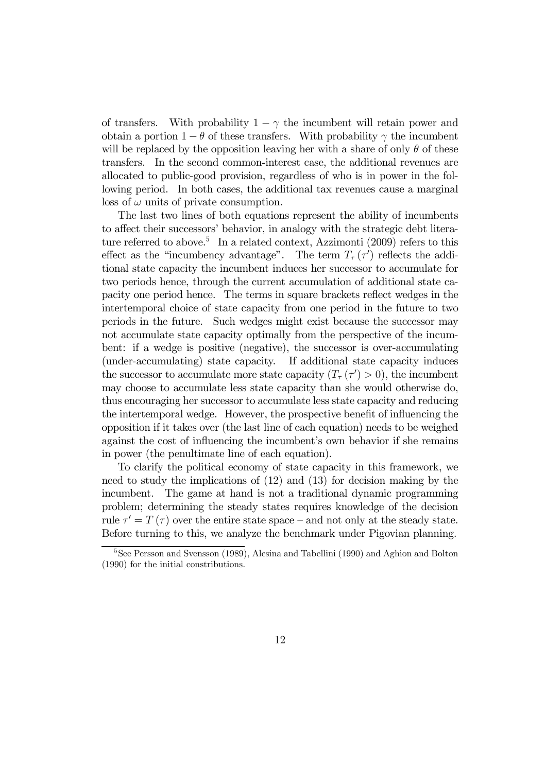of transfers. With probability  $1 - \gamma$  the incumbent will retain power and obtain a portion  $1 - \theta$  of these transfers. With probability  $\gamma$  the incumbent will be replaced by the opposition leaving her with a share of only  $\theta$  of these transfers. In the second common-interest case, the additional revenues are allocated to public-good provision, regardless of who is in power in the following period. In both cases, the additional tax revenues cause a marginal  $\cos$  of  $\omega$  units of private consumption.

The last two lines of both equations represent the ability of incumbents to affect their successors' behavior, in analogy with the strategic debt literature referred to above.<sup>5</sup> In a related context, Azzimonti  $(2009)$  refers to this effect as the "incumbency advantage". The term  $T_{\tau}(\tau')$  reflects the additional state capacity the incumbent induces her successor to accumulate for two periods hence, through the current accumulation of additional state capacity one period hence. The terms in square brackets reflect wedges in the intertemporal choice of state capacity from one period in the future to two periods in the future. Such wedges might exist because the successor may not accumulate state capacity optimally from the perspective of the incumbent: if a wedge is positive (negative), the successor is over-accumulating (under-accumulating) state capacity. If additional state capacity induces the successor to accumulate more state capacity  $(T_{\tau}(\tau') > 0)$ , the incumbent may choose to accumulate less state capacity than she would otherwise do, thus encouraging her successor to accumulate less state capacity and reducing the intertemporal wedge. However, the prospective benefit of influencing the opposition if it takes over (the last line of each equation) needs to be weighed against the cost of influencing the incumbent's own behavior if she remains in power (the penultimate line of each equation).

To clarify the political economy of state capacity in this framework, we need to study the implications of (12) and (13) for decision making by the incumbent. The game at hand is not a traditional dynamic programming problem; determining the steady states requires knowledge of the decision rule  $\tau' = T(\tau)$  over the entire state space – and not only at the steady state. Before turning to this, we analyze the benchmark under Pigovian planning.

<sup>5</sup>See Persson and Svensson (1989), Alesina and Tabellini (1990) and Aghion and Bolton (1990) for the initial constributions.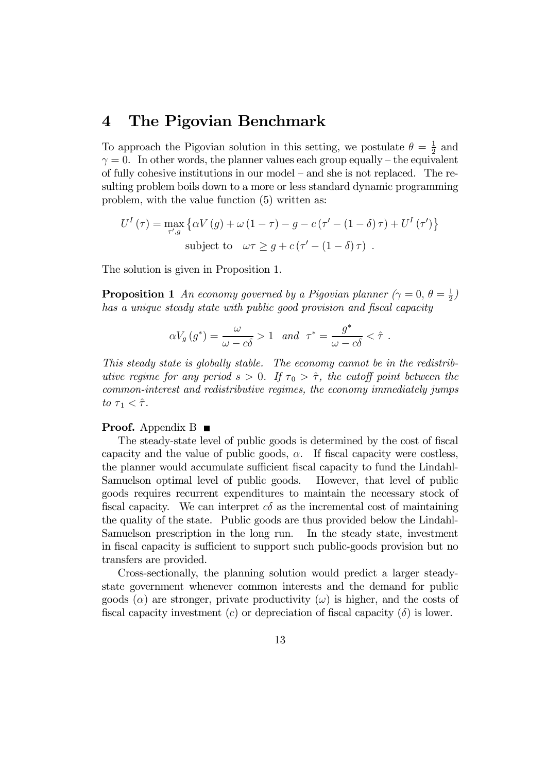### 4 The Pigovian Benchmark

To approach the Pigovian solution in this setting, we postulate  $\theta = \frac{1}{2}$  and  $\gamma = 0$ . In other words, the planner values each group equally – the equivalent of fully cohesive institutions in our model — and she is not replaced. The resulting problem boils down to a more or less standard dynamic programming problem, with the value function (5) written as:

$$
U^{I}(\tau) = \max_{\tau', g} \left\{ \alpha V(g) + \omega (1 - \tau) - g - c (\tau' - (1 - \delta)\tau) + U^{I} (\tau') \right\}
$$
  
subject to  $\omega \tau \ge g + c (\tau' - (1 - \delta)\tau)$ .

The solution is given in Proposition 1.

**Proposition 1** An economy governed by a Pigovian planner  $(\gamma = 0, \theta = \frac{1}{2})$ has a unique steady state with public good provision and fiscal capacity

$$
\alpha V_g(g^*) = \frac{\omega}{\omega - c\delta} > 1 \quad and \quad \tau^* = \frac{g^*}{\omega - c\delta} < \hat{\tau} \ .
$$

This steady state is globally stable. The economy cannot be in the redistributive regime for any period  $s > 0$ . If  $\tau_0 > \hat{\tau}$ , the cutoff point between the common-interest and redistributive regimes, the economy immediately jumps to  $\tau_1 < \hat{\tau}$ .

#### **Proof.** Appendix B

The steady-state level of public goods is determined by the cost of fiscal capacity and the value of public goods,  $\alpha$ . If fiscal capacity were costless, the planner would accumulate sufficient fiscal capacity to fund the Lindahl-Samuelson optimal level of public goods. However, that level of public goods requires recurrent expenditures to maintain the necessary stock of fiscal capacity. We can interpret  $c\delta$  as the incremental cost of maintaining the quality of the state. Public goods are thus provided below the Lindahl-Samuelson prescription in the long run. In the steady state, investment in fiscal capacity is sufficient to support such public-goods provision but no transfers are provided.

Cross-sectionally, the planning solution would predict a larger steadystate government whenever common interests and the demand for public goods  $(\alpha)$  are stronger, private productivity  $(\omega)$  is higher, and the costs of fiscal capacity investment (c) or depreciation of fiscal capacity  $(\delta)$  is lower.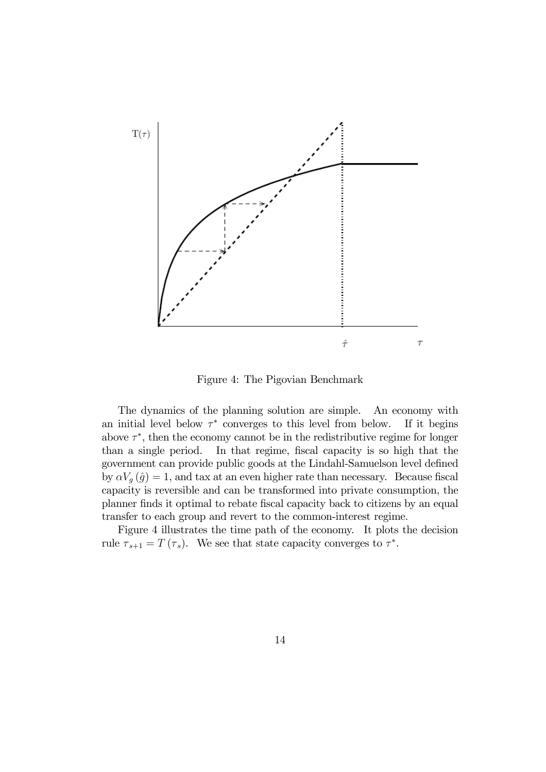

Figure 4: The Pigovian Benchmark

The dynamics of the planning solution are simple. An economy with an initial level below  $\tau^*$  converges to this level from below. If it begins above  $\tau^*$ , then the economy cannot be in the redistributive regime for longer than a single period. In that regime, fiscal capacity is so high that the government can provide public goods at the Lindahl-Samuelson level defined by  $\alpha V_g(\hat{g})=1$ , and tax at an even higher rate than necessary. Because fiscal capacity is reversible and can be transformed into private consumption, the planner finds it optimal to rebate fiscal capacity back to citizens by an equal transfer to each group and revert to the common-interest regime.

Figure 4 illustrates the time path of the economy. It plots the decision rule  $\tau_{s+1} = T(\tau_s)$ . We see that state capacity converges to  $\tau^*$ .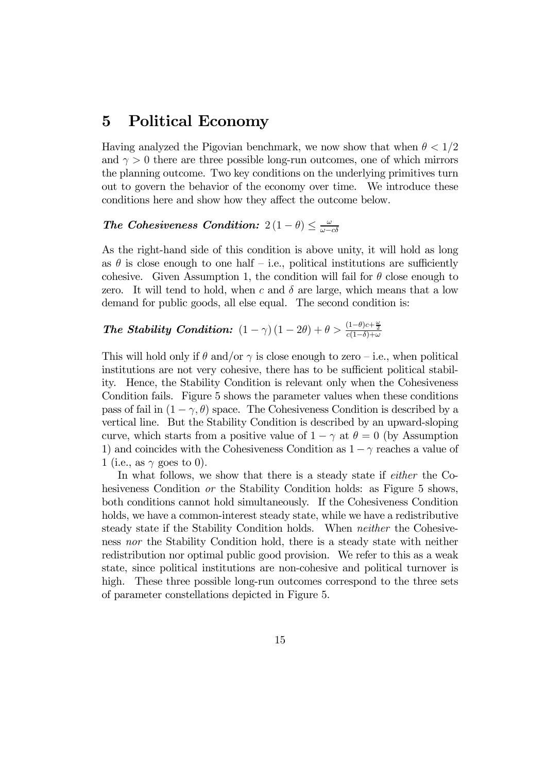### 5 Political Economy

Having analyzed the Pigovian benchmark, we now show that when  $\theta < 1/2$ and  $\gamma > 0$  there are three possible long-run outcomes, one of which mirrors the planning outcome. Two key conditions on the underlying primitives turn out to govern the behavior of the economy over time. We introduce these conditions here and show how they affect the outcome below.

## The Cohesiveness Condition:  $2(1 - \theta) \leq \frac{\omega}{\omega - c\delta}$

As the right-hand side of this condition is above unity, it will hold as long as  $\theta$  is close enough to one half – i.e., political institutions are sufficiently cohesive. Given Assumption 1, the condition will fail for  $\theta$  close enough to zero. It will tend to hold, when c and  $\delta$  are large, which means that a low demand for public goods, all else equal. The second condition is:

# The Stability Condition:  $(1 - \gamma) (1 - 2\theta) + \theta > \frac{(1 - \theta)c + \frac{\omega}{2}}{c(1 - \delta) + \omega}$

This will hold only if  $\theta$  and/or  $\gamma$  is close enough to zero – i.e., when political institutions are not very cohesive, there has to be sufficient political stability. Hence, the Stability Condition is relevant only when the Cohesiveness Condition fails. Figure 5 shows the parameter values when these conditions pass of fail in  $(1 - \gamma, \theta)$  space. The Cohesiveness Condition is described by a vertical line. But the Stability Condition is described by an upward-sloping curve, which starts from a positive value of  $1 - \gamma$  at  $\theta = 0$  (by Assumption 1) and coincides with the Cohesiveness Condition as  $1 - \gamma$  reaches a value of 1 (i.e., as  $\gamma$  goes to 0).

In what follows, we show that there is a steady state if either the Cohesiveness Condition *or* the Stability Condition holds: as Figure 5 shows, both conditions cannot hold simultaneously. If the Cohesiveness Condition holds, we have a common-interest steady state, while we have a redistributive steady state if the Stability Condition holds. When neither the Cohesiveness nor the Stability Condition hold, there is a steady state with neither redistribution nor optimal public good provision. We refer to this as a weak state, since political institutions are non-cohesive and political turnover is high. These three possible long-run outcomes correspond to the three sets of parameter constellations depicted in Figure 5.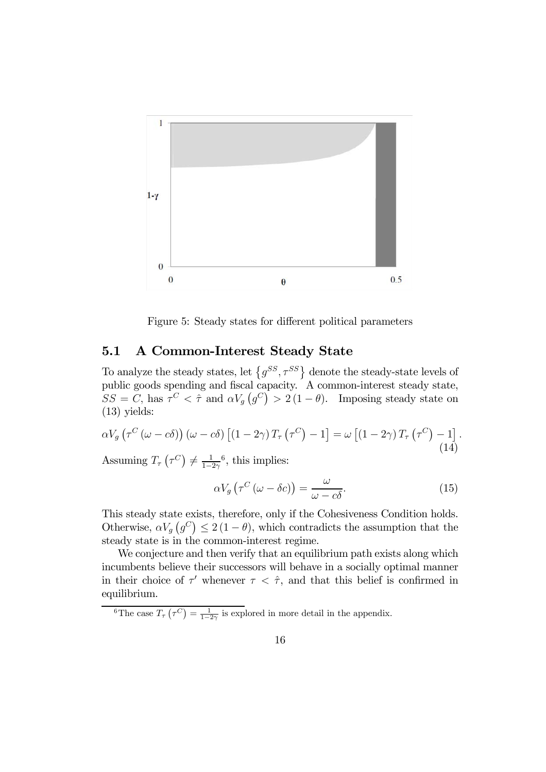

Figure 5: Steady states for different political parameters

### 5.1 A Common-Interest Steady State

To analyze the steady states, let  $\{g^{SS}, \tau^{SS}\}\$  denote the steady-state levels of public goods spending and fiscal capacity. A common-interest steady state,  $SS = C$ , has  $\tau^C < \hat{\tau}$  and  $\alpha V_g(g^C) > 2(1 - \theta)$ . Imposing steady state on (13) yields:

$$
\alpha V_g \left( \tau^C \left( \omega - c \delta \right) \right) \left( \omega - c \delta \right) \left[ \left( 1 - 2 \gamma \right) T_\tau \left( \tau^C \right) - 1 \right] = \omega \left[ \left( 1 - 2 \gamma \right) T_\tau \left( \tau^C \right) - 1 \right]. \tag{14}
$$

Assuming  $T_{\tau}$   $(\tau^C) \neq \frac{1}{1-2\gamma}$ <sup>6</sup>, this implies:

$$
\alpha V_g \left( \tau^C \left( \omega - \delta c \right) \right) = \frac{\omega}{\omega - c\delta}.
$$
\n(15)

This steady state exists, therefore, only if the Cohesiveness Condition holds. Otherwise,  $\alpha V_g(g^C) \leq 2(1-\theta)$ , which contradicts the assumption that the steady state is in the common-interest regime.

We conjecture and then verify that an equilibrium path exists along which incumbents believe their successors will behave in a socially optimal manner in their choice of  $\tau'$  whenever  $\tau < \hat{\tau}$ , and that this belief is confirmed in equilibrium.

<sup>6</sup>The case  $T_{\tau}(\tau^C) = \frac{1}{1-2\gamma}$  is explored in more detail in the appendix.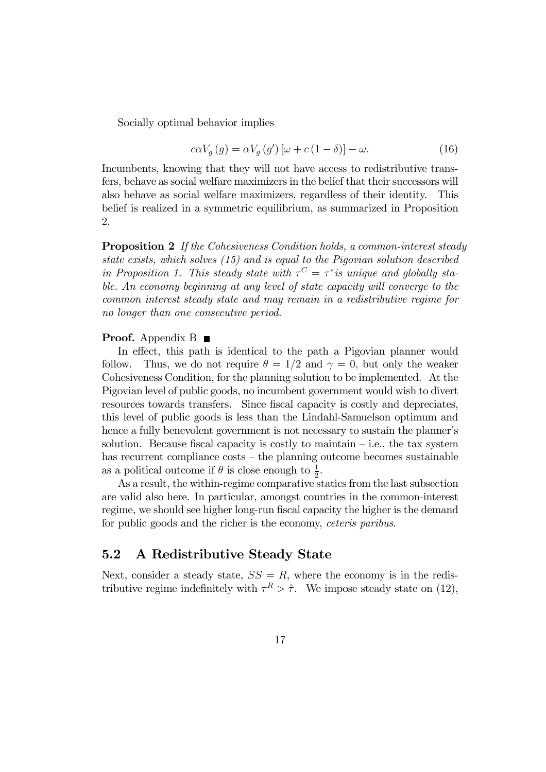Socially optimal behavior implies

$$
c\alpha V_g(g) = \alpha V_g(g')\left[\omega + c\left(1 - \delta\right)\right] - \omega.
$$
\n(16)

Incumbents, knowing that they will not have access to redistributive transfers, behave as social welfare maximizers in the belief that their successors will also behave as social welfare maximizers, regardless of their identity. This belief is realized in a symmetric equilibrium, as summarized in Proposition 2.

Proposition 2 If the Cohesiveness Condition holds, a common-interest steady state exists, which solves (15) and is equal to the Pigovian solution described in Proposition 1. This steady state with  $\tau^{C} = \tau^{*}$  is unique and globally stable. An economy beginning at any level of state capacity will converge to the common interest steady state and may remain in a redistributive regime for no longer than one consecutive period.

#### **Proof.** Appendix B

In effect, this path is identical to the path a Pigovian planner would follow. Thus, we do not require  $\theta = 1/2$  and  $\gamma = 0$ , but only the weaker Cohesiveness Condition, for the planning solution to be implemented. At the Pigovian level of public goods, no incumbent government would wish to divert resources towards transfers. Since fiscal capacity is costly and depreciates, this level of public goods is less than the Lindahl-Samuelson optimum and hence a fully benevolent government is not necessary to sustain the planner's solution. Because fiscal capacity is costly to maintain  $-$  i.e., the tax system has recurrent compliance costs – the planning outcome becomes sustainable as a political outcome if  $\theta$  is close enough to  $\frac{1}{2}$ .

As a result, the within-regime comparative statics from the last subsection are valid also here. In particular, amongst countries in the common-interest regime, we should see higher long-run fiscal capacity the higher is the demand for public goods and the richer is the economy, *ceteris paribus*.

#### 5.2 A Redistributive Steady State

Next, consider a steady state,  $SS = R$ , where the economy is in the redistributive regime indefinitely with  $\tau^R > \hat{\tau}$ . We impose steady state on (12),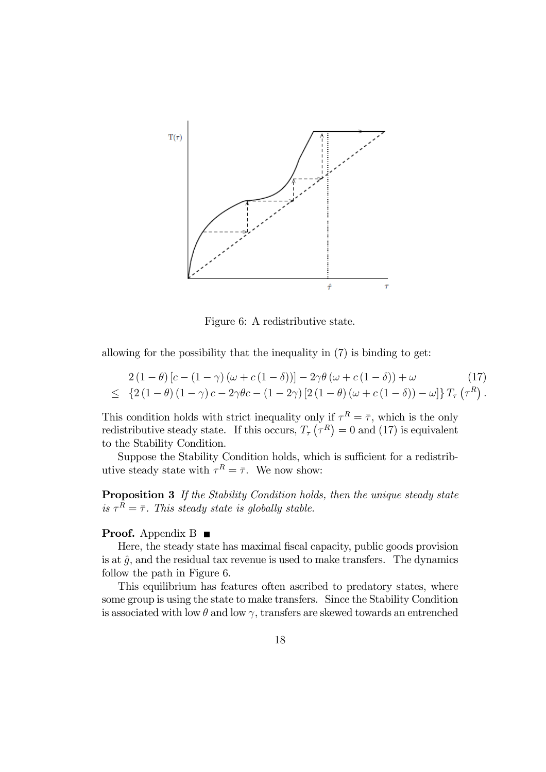

Figure 6: A redistributive state.

allowing for the possibility that the inequality in (7) is binding to get:

$$
2(1 - \theta) [c - (1 - \gamma) (\omega + c(1 - \delta))] - 2\gamma \theta (\omega + c(1 - \delta)) + \omega \qquad (17)
$$
  

$$
\leq \left\{ 2(1 - \theta) (1 - \gamma) c - 2\gamma \theta c - (1 - 2\gamma) [2(1 - \theta) (\omega + c(1 - \delta)) - \omega] \right\} T_{\tau} (\tau^{R}).
$$

This condition holds with strict inequality only if  $\tau^R = \overline{\tau}$ , which is the only redistributive steady state. If this occurs,  $T_{\tau}(\tau^R) = 0$  and (17) is equivalent to the Stability Condition.

Suppose the Stability Condition holds, which is sufficient for a redistributive steady state with  $\tau^R = \overline{\tau}$ . We now show:

Proposition 3 If the Stability Condition holds, then the unique steady state is  $\tau^R = \overline{\tau}$ . This steady state is globally stable.

#### Proof. Appendix B ■

Here, the steady state has maximal fiscal capacity, public goods provision is at  $\hat{g}$ , and the residual tax revenue is used to make transfers. The dynamics follow the path in Figure 6.

This equilibrium has features often ascribed to predatory states, where some group is using the state to make transfers. Since the Stability Condition is associated with low  $\theta$  and low  $\gamma$ , transfers are skewed towards an entrenched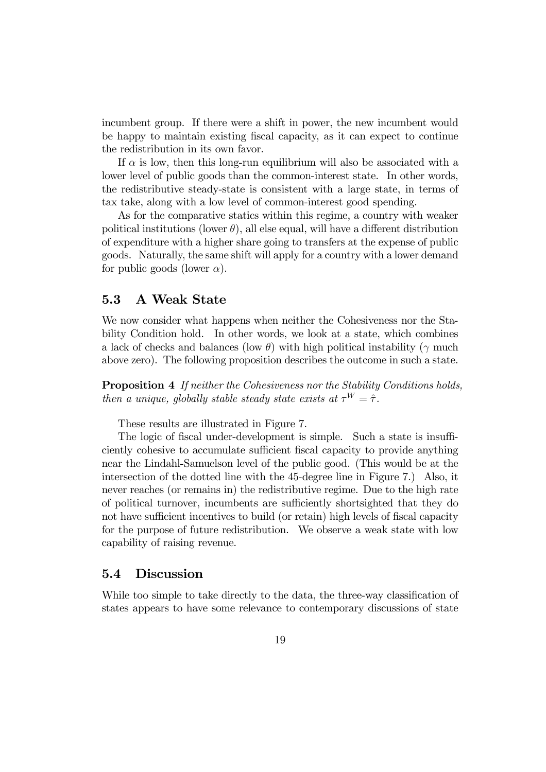incumbent group. If there were a shift in power, the new incumbent would be happy to maintain existing fiscal capacity, as it can expect to continue the redistribution in its own favor.

If  $\alpha$  is low, then this long-run equilibrium will also be associated with a lower level of public goods than the common-interest state. In other words, the redistributive steady-state is consistent with a large state, in terms of tax take, along with a low level of common-interest good spending.

As for the comparative statics within this regime, a country with weaker political institutions (lower  $\theta$ ), all else equal, will have a different distribution of expenditure with a higher share going to transfers at the expense of public goods. Naturally, the same shift will apply for a country with a lower demand for public goods (lower  $\alpha$ ).

#### 5.3 A Weak State

We now consider what happens when neither the Cohesiveness nor the Stability Condition hold. In other words, we look at a state, which combines a lack of checks and balances (low  $\theta$ ) with high political instability (γ much above zero). The following proposition describes the outcome in such a state.

Proposition 4 If neither the Cohesiveness nor the Stability Conditions holds, then a unique, globally stable steady state exists at  $\tau^W = \hat{\tau}$ .

These results are illustrated in Figure 7.

The logic of fiscal under-development is simple. Such a state is insufficiently cohesive to accumulate sufficient fiscal capacity to provide anything near the Lindahl-Samuelson level of the public good. (This would be at the intersection of the dotted line with the 45-degree line in Figure 7.) Also, it never reaches (or remains in) the redistributive regime. Due to the high rate of political turnover, incumbents are sufficiently shortsighted that they do not have sufficient incentives to build (or retain) high levels of fiscal capacity for the purpose of future redistribution. We observe a weak state with low capability of raising revenue.

#### 5.4 Discussion

While too simple to take directly to the data, the three-way classification of states appears to have some relevance to contemporary discussions of state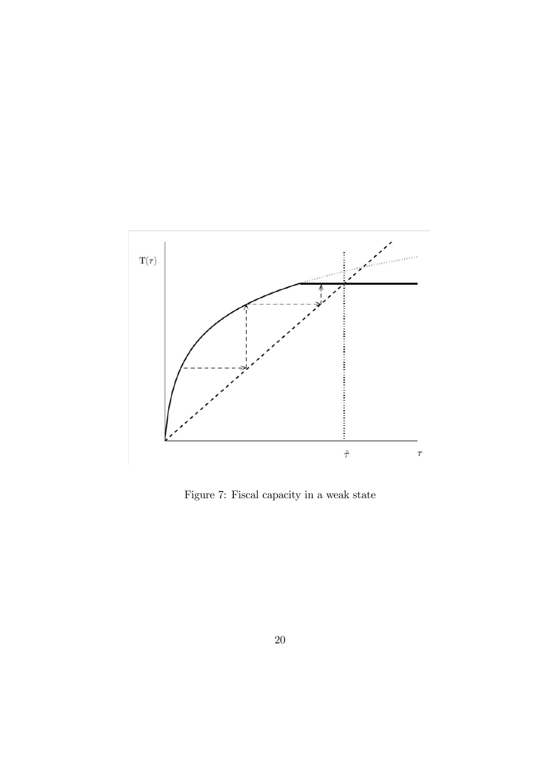

Figure 7: Fiscal capacity in a weak state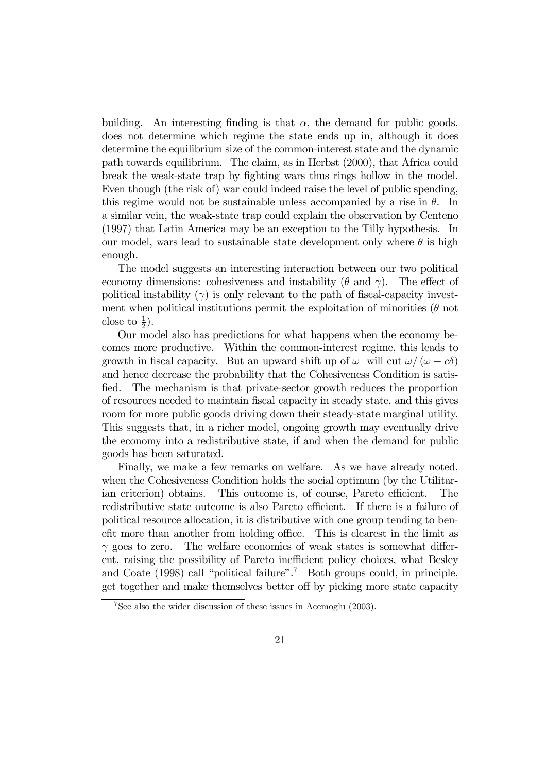building. An interesting finding is that  $\alpha$ , the demand for public goods, does not determine which regime the state ends up in, although it does determine the equilibrium size of the common-interest state and the dynamic path towards equilibrium. The claim, as in Herbst (2000), that Africa could break the weak-state trap by fighting wars thus rings hollow in the model. Even though (the risk of) war could indeed raise the level of public spending, this regime would not be sustainable unless accompanied by a rise in  $\theta$ . In a similar vein, the weak-state trap could explain the observation by Centeno (1997) that Latin America may be an exception to the Tilly hypothesis. In our model, wars lead to sustainable state development only where  $\theta$  is high enough.

The model suggests an interesting interaction between our two political economy dimensions: cohesiveness and instability  $(\theta \text{ and } \gamma)$ . The effect of political instability  $(\gamma)$  is only relevant to the path of fiscal-capacity investment when political institutions permit the exploitation of minorities  $(\theta$  not close to  $\frac{1}{2}$ ).

Our model also has predictions for what happens when the economy becomes more productive. Within the common-interest regime, this leads to growth in fiscal capacity. But an upward shift up of  $\omega$  will cut  $\omega/(\omega - c\delta)$ and hence decrease the probability that the Cohesiveness Condition is satisfied. The mechanism is that private-sector growth reduces the proportion of resources needed to maintain fiscal capacity in steady state, and this gives room for more public goods driving down their steady-state marginal utility. This suggests that, in a richer model, ongoing growth may eventually drive the economy into a redistributive state, if and when the demand for public goods has been saturated.

Finally, we make a few remarks on welfare. As we have already noted, when the Cohesiveness Condition holds the social optimum (by the Utilitarian criterion) obtains. This outcome is, of course, Pareto efficient. The redistributive state outcome is also Pareto efficient. If there is a failure of political resource allocation, it is distributive with one group tending to benefit more than another from holding office. This is clearest in the limit as  $\gamma$  goes to zero. The welfare economics of weak states is somewhat different, raising the possibility of Pareto inefficient policy choices, what Besley and Coate  $(1998)$  call "political failure".<sup>7</sup> Both groups could, in principle, get together and make themselves better off by picking more state capacity

<sup>7</sup>See also the wider discussion of these issues in Acemoglu (2003).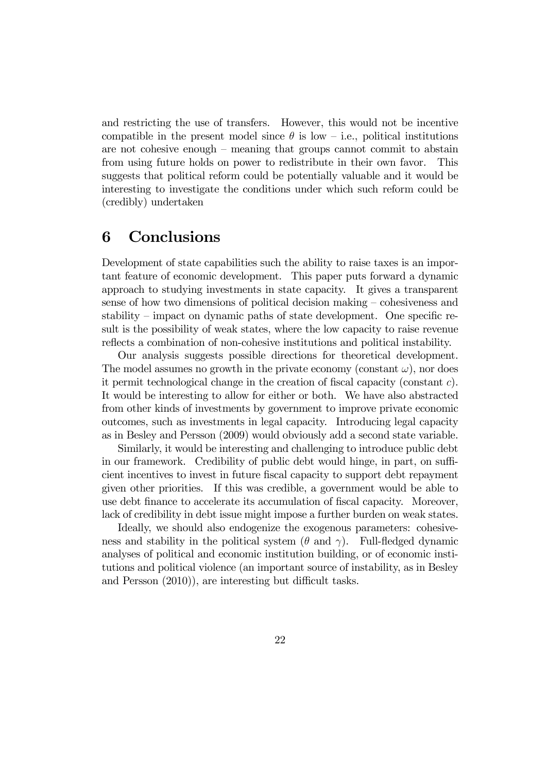and restricting the use of transfers. However, this would not be incentive compatible in the present model since  $\theta$  is low – i.e., political institutions are not cohesive enough — meaning that groups cannot commit to abstain from using future holds on power to redistribute in their own favor. This suggests that political reform could be potentially valuable and it would be interesting to investigate the conditions under which such reform could be (credibly) undertaken

## 6 Conclusions

Development of state capabilities such the ability to raise taxes is an important feature of economic development. This paper puts forward a dynamic approach to studying investments in state capacity. It gives a transparent sense of how two dimensions of political decision making — cohesiveness and stability — impact on dynamic paths of state development. One specific result is the possibility of weak states, where the low capacity to raise revenue reflects a combination of non-cohesive institutions and political instability.

Our analysis suggests possible directions for theoretical development. The model assumes no growth in the private economy (constant  $\omega$ ), nor does it permit technological change in the creation of fiscal capacity (constant c). It would be interesting to allow for either or both. We have also abstracted from other kinds of investments by government to improve private economic outcomes, such as investments in legal capacity. Introducing legal capacity as in Besley and Persson (2009) would obviously add a second state variable.

Similarly, it would be interesting and challenging to introduce public debt in our framework. Credibility of public debt would hinge, in part, on sufficient incentives to invest in future fiscal capacity to support debt repayment given other priorities. If this was credible, a government would be able to use debt finance to accelerate its accumulation of fiscal capacity. Moreover, lack of credibility in debt issue might impose a further burden on weak states.

Ideally, we should also endogenize the exogenous parameters: cohesiveness and stability in the political system ( $\theta$  and  $\gamma$ ). Full-fledged dynamic analyses of political and economic institution building, or of economic institutions and political violence (an important source of instability, as in Besley and Persson (2010)), are interesting but difficult tasks.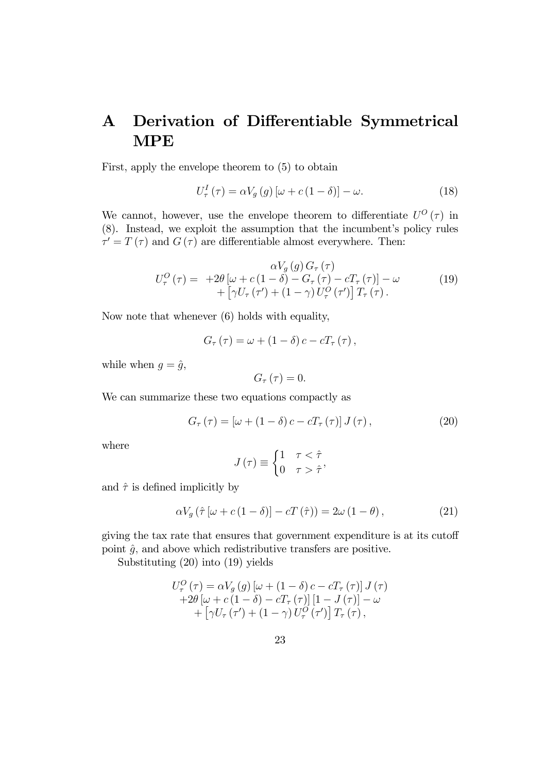# A Derivation of Differentiable Symmetrical MPE

First, apply the envelope theorem to (5) to obtain

$$
U_{\tau}^{I}(\tau) = \alpha V_{g}(g) \left[\omega + c(1 - \delta)\right] - \omega.
$$
 (18)

We cannot, however, use the envelope theorem to differentiate  $U^{O}(\tau)$  in (8). Instead, we exploit the assumption that the incumbent's policy rules  $\tau' = T(\tau)$  and  $G(\tau)$  are differentiable almost everywhere. Then:

$$
U_{\tau}^{O}(\tau) = +2\theta \left[ \omega + c\left(1-\delta\right) - G_{\tau}\left(\tau\right) - cT_{\tau}\left(\tau\right) \right] - \omega + \left[ \gamma U_{\tau}\left(\tau'\right) + \left(1-\gamma\right)U_{\tau}^{O}\left(\tau'\right) \right] T_{\tau}(\tau). \tag{19}
$$

Now note that whenever (6) holds with equality,

$$
G_{\tau}(\tau) = \omega + (1 - \delta) c - cT_{\tau}(\tau),
$$

while when  $g = \hat{g}$ ,

$$
G_{\tau}\left( \tau\right) =0.
$$

We can summarize these two equations compactly as

$$
G_{\tau}(\tau) = \left[\omega + (1 - \delta)c - cT_{\tau}(\tau)\right]J(\tau),\tag{20}
$$

where

$$
J(\tau) \equiv \begin{cases} 1 & \tau < \hat{\tau} \\ 0 & \tau > \hat{\tau} \end{cases}
$$

and  $\hat{\tau}$  is defined implicitly by

$$
\alpha V_g \left( \hat{\tau} \left[ \omega + c \left( 1 - \delta \right) \right] - c \mathcal{T} \left( \hat{\tau} \right) \right) = 2\omega \left( 1 - \theta \right),\tag{21}
$$

giving the tax rate that ensures that government expenditure is at its cutoff point  $\hat{g}$ , and above which redistributive transfers are positive.

Substituting (20) into (19) yields

$$
U_{\tau}^{O}(\tau) = \alpha V_{g}(g) [\omega + (1 - \delta) c - cT_{\tau}(\tau)] J(\tau)
$$
  
+2\theta [\omega + c(1 - \delta) - cT\_{\tau}(\tau)][1 - J(\tau)] - \omega  
+ [\gamma U\_{\tau}(\tau') + (1 - \gamma) U\_{\tau}^{O}(\tau')] T\_{\tau}(\tau),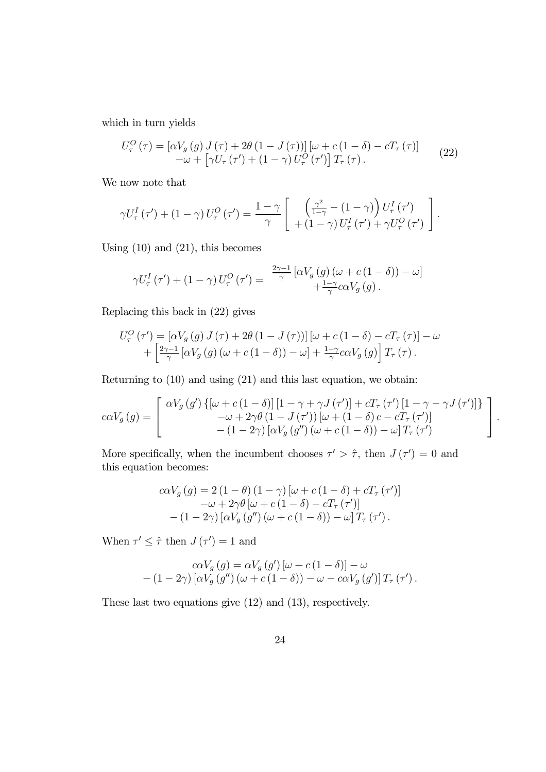which in turn yields

$$
U_{\tau}^{O}(\tau) = \left[\alpha V_{g}(g) J(\tau) + 2\theta (1 - J(\tau))\right] \left[\omega + c(1 - \delta) - cT_{\tau}(\tau)\right] - \omega + \left[\gamma U_{\tau}(\tau') + (1 - \gamma) U_{\tau}^{O}(\tau')\right] T_{\tau}(\tau). \tag{22}
$$

We now note that

$$
\gamma U_{\tau}^{I}(\tau') + (1 - \gamma) U_{\tau}^{O}(\tau') = \frac{1 - \gamma}{\gamma} \left[ \begin{array}{c} \left( \frac{\gamma^{2}}{1 - \gamma} - (1 - \gamma) \right) U_{\tau}^{I}(\tau') \\ + (1 - \gamma) U_{\tau}^{I}(\tau') + \gamma U_{\tau}^{O}(\tau') \end{array} \right].
$$

Using  $(10)$  and  $(21)$ , this becomes

$$
\gamma U_{\tau}^{I}(\tau') + (1 - \gamma) U_{\tau}^{O}(\tau') = \frac{\frac{2\gamma - 1}{\gamma} [\alpha V_{g}(g) (\omega + c(1 - \delta)) - \omega]}{+\frac{1 - \gamma}{\gamma} c \alpha V_{g}(g)}.
$$

Replacing this back in (22) gives

$$
U_{\tau}^{O}(\tau') = [\alpha V_g(g) J(\tau) + 2\theta (1 - J(\tau))] [\omega + c (1 - \delta) - cT_{\tau}(\tau)] - \omega + \left[ \frac{2\gamma - 1}{\gamma} [\alpha V_g(g) (\omega + c (1 - \delta)) - \omega] + \frac{1 - \gamma}{\gamma} c\alpha V_g(g) \right] T_{\tau}(\tau).
$$

Returning to (10) and using (21) and this last equation, we obtain:

$$
c\alpha V_g(g) = \begin{bmatrix} \alpha V_g(g') \left\{ \left[ \omega + c(1-\delta) \right] \left[ 1 - \gamma + \gamma J(\tau') \right] + cT_{\tau}(\tau') \left[ 1 - \gamma - \gamma J(\tau') \right] \right\} \\ -\omega + 2\gamma \theta (1 - J(\tau')) \left[ \omega + (1 - \delta) c - cT_{\tau}(\tau') \right] \\ - (1 - 2\gamma) \left[ \alpha V_g(g'') \left( \omega + c(1 - \delta) \right) - \omega \right] T_{\tau}(\tau') \end{bmatrix}.
$$

More specifically, when the incumbent chooses  $\tau' > \hat{\tau}$ , then  $J(\tau') = 0$  and this equation becomes:

$$
c\alpha V_g(g) = 2(1 - \theta)(1 - \gamma) [\omega + c(1 - \delta) + cT_\tau(\tau')]
$$

$$
-\omega + 2\gamma \theta [\omega + c(1 - \delta) - cT_\tau(\tau')]
$$

$$
-(1 - 2\gamma) [\alpha V_g(g'')(\omega + c(1 - \delta)) - \omega] T_\tau(\tau').
$$

When  $\tau' \leq \hat{\tau}$  then  $J(\tau') = 1$  and

$$
c\alpha V_g(g) = \alpha V_g(g')\left[\omega + c(1-\delta)\right] - \omega
$$
  
-(1-2 $\gamma$ )\left[\alpha V\_g(g'')\left(\omega + c(1-\delta)\right) - \omega - c\alpha V\_g(g')\right]T\_\tau(\tau').

These last two equations give (12) and (13), respectively.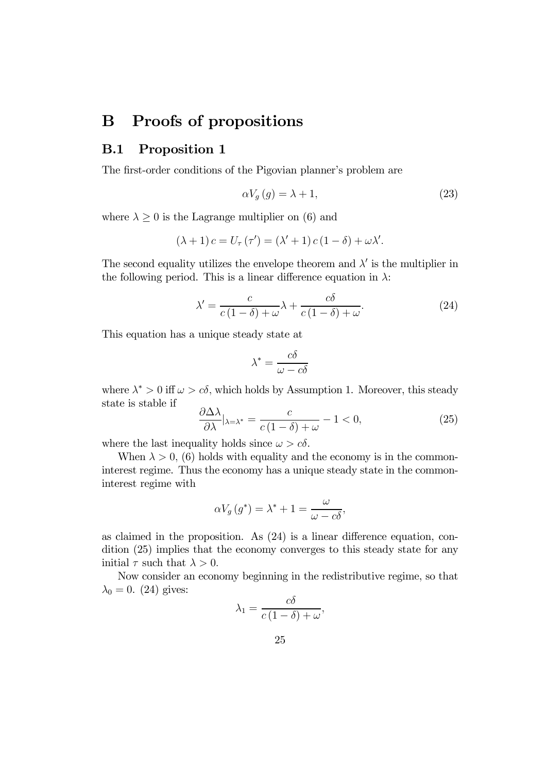## B Proofs of propositions

## B.1 Proposition 1

The first-order conditions of the Pigovian planner's problem are

$$
\alpha V_g(g) = \lambda + 1,\tag{23}
$$

where  $\lambda \geq 0$  is the Lagrange multiplier on (6) and

$$
(\lambda + 1) c = U_{\tau}(\tau') = (\lambda' + 1) c (1 - \delta) + \omega \lambda'.
$$

The second equality utilizes the envelope theorem and  $\lambda'$  is the multiplier in the following period. This is a linear difference equation in  $\lambda$ :

$$
\lambda' = \frac{c}{c(1-\delta) + \omega} \lambda + \frac{c\delta}{c(1-\delta) + \omega}.
$$
 (24)

This equation has a unique steady state at

$$
\lambda^* = \frac{c\delta}{\omega - c\delta}
$$

where  $\lambda^* > 0$  iff  $\omega > c\delta$ , which holds by Assumption 1. Moreover, this steady state is stable if  $\theta$   $\lambda$   $\lambda$ 

$$
\frac{\partial \Delta \lambda}{\partial \lambda} |_{\lambda = \lambda^*} = \frac{c}{c(1 - \delta) + \omega} - 1 < 0,\tag{25}
$$

where the last inequality holds since  $\omega > c\delta$ .

When  $\lambda > 0$ , (6) holds with equality and the economy is in the commoninterest regime. Thus the economy has a unique steady state in the commoninterest regime with

$$
\alpha V_g(g^*) = \lambda^* + 1 = \frac{\omega}{\omega - c\delta},
$$

as claimed in the proposition. As (24) is a linear difference equation, condition (25) implies that the economy converges to this steady state for any initial  $\tau$  such that  $\lambda > 0$ .

Now consider an economy beginning in the redistributive regime, so that  $\lambda_0 = 0$ . (24) gives:

$$
\lambda_1 = \frac{c\delta}{c\left(1 - \delta\right) + \omega},
$$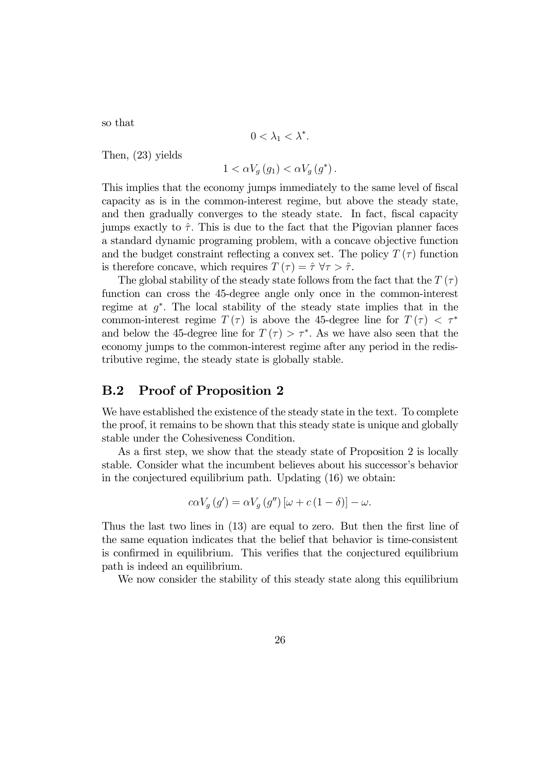so that

$$
0<\lambda_1<\lambda^*.
$$

Then, (23) yields

$$
1 < \alpha V_g\left(g_1\right) < \alpha V_g\left(g^*\right).
$$

This implies that the economy jumps immediately to the same level of fiscal capacity as is in the common-interest regime, but above the steady state, and then gradually converges to the steady state. In fact, fiscal capacity jumps exactly to  $\hat{\tau}$ . This is due to the fact that the Pigovian planner faces a standard dynamic programing problem, with a concave objective function and the budget constraint reflecting a convex set. The policy  $T(\tau)$  function is therefore concave, which requires  $T(\tau) = \hat{\tau} \,\forall \tau > \hat{\tau}$ .

The global stability of the steady state follows from the fact that the  $T(\tau)$ function can cross the 45-degree angle only once in the common-interest regime at  $q^*$ . The local stability of the steady state implies that in the common-interest regime  $T(\tau)$  is above the 45-degree line for  $T(\tau) < \tau^*$ and below the 45-degree line for  $T(\tau) > \tau^*$ . As we have also seen that the economy jumps to the common-interest regime after any period in the redistributive regime, the steady state is globally stable.

#### B.2 Proof of Proposition 2

We have established the existence of the steady state in the text. To complete the proof, it remains to be shown that this steady state is unique and globally stable under the Cohesiveness Condition.

As a first step, we show that the steady state of Proposition 2 is locally stable. Consider what the incumbent believes about his successor's behavior in the conjectured equilibrium path. Updating (16) we obtain:

$$
c\alpha V_g(g') = \alpha V_g(g'')\left[\omega + c(1-\delta)\right] - \omega.
$$

Thus the last two lines in (13) are equal to zero. But then the first line of the same equation indicates that the belief that behavior is time-consistent is confirmed in equilibrium. This verifies that the conjectured equilibrium path is indeed an equilibrium.

We now consider the stability of this steady state along this equilibrium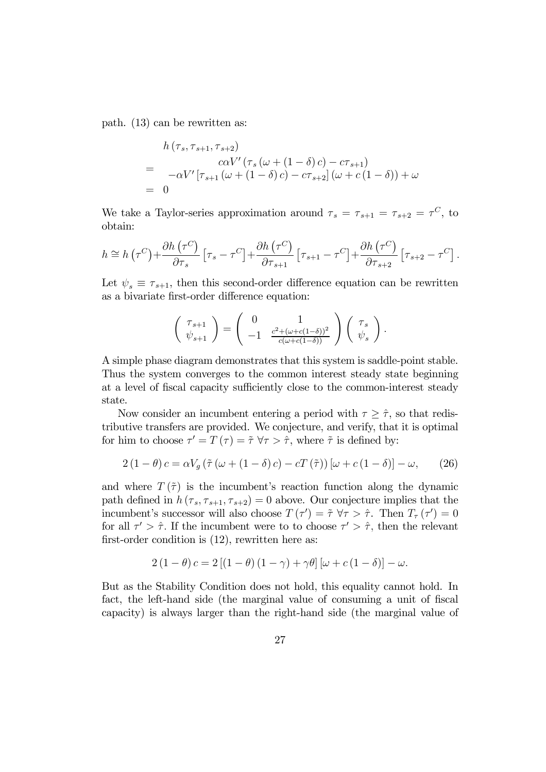path. (13) can be rewritten as:

$$
h(\tau_s, \tau_{s+1}, \tau_{s+2})
$$
  
=  $-\alpha V' [\tau_{s+1} (\omega + (1 - \delta) c) - c \tau_{s+1})$   
=  $- \alpha V' [\tau_{s+1} (\omega + (1 - \delta) c) - c \tau_{s+2}] (\omega + c (1 - \delta)) + \omega$   
= 0

We take a Taylor-series approximation around  $\tau_s = \tau_{s+1} = \tau_{s+2} = \tau^C$ , to obtain:

$$
h \cong h\left(\tau^{C}\right) + \frac{\partial h\left(\tau^{C}\right)}{\partial \tau_{s}}\left[\tau_{s} - \tau^{C}\right] + \frac{\partial h\left(\tau^{C}\right)}{\partial \tau_{s+1}}\left[\tau_{s+1} - \tau^{C}\right] + \frac{\partial h\left(\tau^{C}\right)}{\partial \tau_{s+2}}\left[\tau_{s+2} - \tau^{C}\right].
$$

Let  $\psi_s \equiv \tau_{s+1}$ , then this second-order difference equation can be rewritten as a bivariate first-order difference equation:

$$
\left(\begin{array}{c} \tau_{s+1} \\ \psi_{s+1} \end{array}\right) = \left(\begin{array}{cc} 0 & 1 \\ -1 & \frac{c^2 + (\omega + c(1-\delta))^2}{c(\omega + c(1-\delta))} \end{array}\right) \left(\begin{array}{c} \tau_s \\ \psi_s \end{array}\right).
$$

A simple phase diagram demonstrates that this system is saddle-point stable. Thus the system converges to the common interest steady state beginning at a level of fiscal capacity sufficiently close to the common-interest steady state.

Now consider an incumbent entering a period with  $\tau \geq \hat{\tau}$ , so that redistributive transfers are provided. We conjecture, and verify, that it is optimal for him to choose  $\tau' = T(\tau) = \tilde{\tau} \,\forall \tau > \hat{\tau}$ , where  $\tilde{\tau}$  is defined by:

$$
2(1 - \theta)c = \alpha V_g \left(\tilde{\tau} \left(\omega + (1 - \delta)c\right) - cT\left(\tilde{\tau}\right)\right) \left[\omega + c\left(1 - \delta\right)\right] - \omega, \tag{26}
$$

and where  $T(\tilde{\tau})$  is the incumbent's reaction function along the dynamic path defined in  $h(\tau_s, \tau_{s+1}, \tau_{s+2})=0$  above. Our conjecture implies that the incumbent's successor will also choose  $T(\tau') = \tilde{\tau} \,\forall \tau > \hat{\tau}$ . Then  $T_{\tau}(\tau') = 0$ for all  $\tau' > \hat{\tau}$ . If the incumbent were to to choose  $\tau' > \hat{\tau}$ , then the relevant first-order condition is (12), rewritten here as:

$$
2(1 - \theta)c = 2[(1 - \theta)(1 - \gamma) + \gamma\theta] [\omega + c(1 - \delta)] - \omega.
$$

But as the Stability Condition does not hold, this equality cannot hold. In fact, the left-hand side (the marginal value of consuming a unit of fiscal capacity) is always larger than the right-hand side (the marginal value of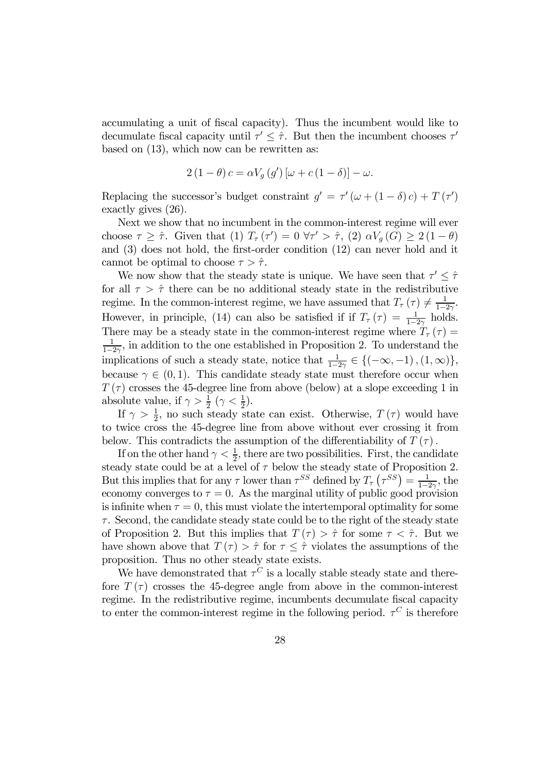accumulating a unit of fiscal capacity). Thus the incumbent would like to decumulate fiscal capacity until  $\tau' \leq \hat{\tau}$ . But then the incumbent chooses  $\tau'$ based on (13), which now can be rewritten as:

$$
2(1 - \theta) c = \alpha V_g(g') \left[\omega + c(1 - \delta)\right] - \omega.
$$

Replacing the successor's budget constraint  $g' = \tau' (\omega + (1 - \delta) c) + T (\tau')$ exactly gives (26).

Next we show that no incumbent in the common-interest regime will ever choose  $\tau \geq \hat{\tau}$ . Given that  $(1)$   $T_{\tau}(\tau') = 0 \ \forall \tau' > \hat{\tau}$ ,  $(2) \alpha V_g(G) \geq 2(1 - \theta)$ and (3) does not hold, the first-order condition (12) can never hold and it cannot be optimal to choose  $\tau > \hat{\tau}$ .

We now show that the steady state is unique. We have seen that  $\tau' < \hat{\tau}$ for all  $\tau > \hat{\tau}$  there can be no additional steady state in the redistributive regime. In the common-interest regime, we have assumed that  $T_{\tau}(\tau) \neq \frac{1}{1-2\gamma}$ . However, in principle, (14) can also be satisfied if if  $T_{\tau}(\tau) = \frac{1}{1-2\gamma}$  holds. There may be a steady state in the common-interest regime where  $T_{\tau}(\tau) =$  $\frac{1}{1-2\gamma}$ , in addition to the one established in Proposition 2. To understand the implications of such a steady state, notice that  $\frac{1}{1-2\gamma} \in \{(-\infty, -1), (1, \infty)\},\$ because  $\gamma \in (0, 1)$ . This candidate steady state must therefore occur when  $T(\tau)$  crosses the 45-degree line from above (below) at a slope exceeding 1 in absolute value, if  $\gamma > \frac{1}{2}$   $(\gamma < \frac{1}{2})$ .

If  $\gamma > \frac{1}{2}$ , no such steady state can exist. Otherwise,  $T(\tau)$  would have to twice cross the 45-degree line from above without ever crossing it from below. This contradicts the assumption of the differentiability of  $T(\tau)$ .

If on the other hand  $\gamma < \frac{1}{2}$ , there are two possibilities. First, the candidate steady state could be at a level of  $\tau$  below the steady state of Proposition 2. But this implies that for any  $\tau$  lower than  $\tau^{SS}$  defined by  $T_{\tau}(\tau^{SS}) = \frac{1}{1-2\gamma}$ , the economy converges to  $\tau = 0$ . As the marginal utility of public good provision is infinite when  $\tau = 0$ , this must violate the intertemporal optimality for some  $\tau$ . Second, the candidate steady state could be to the right of the steady state of Proposition 2. But this implies that  $T(\tau) > \hat{\tau}$  for some  $\tau < \hat{\tau}$ . But we have shown above that  $T(\tau) > \hat{\tau}$  for  $\tau \leq \hat{\tau}$  violates the assumptions of the proposition. Thus no other steady state exists.

We have demonstrated that  $\tau^C$  is a locally stable steady state and therefore  $T(\tau)$  crosses the 45-degree angle from above in the common-interest regime. In the redistributive regime, incumbents decumulate fiscal capacity to enter the common-interest regime in the following period.  $\tau^C$  is therefore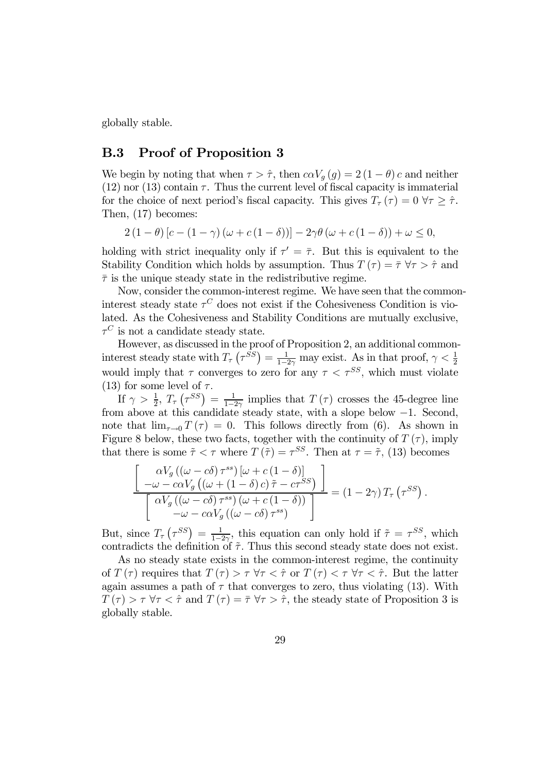globally stable.

#### B.3 Proof of Proposition 3

We begin by noting that when  $\tau > \hat{\tau}$ , then  $c \alpha V_g(g) = 2(1 - \theta) c$  and neither  $(12)$  nor  $(13)$  contain  $\tau$ . Thus the current level of fiscal capacity is immaterial for the choice of next period's fiscal capacity. This gives  $T_{\tau}(\tau)=0 \,\forall \tau \geq \hat{\tau}$ . Then, (17) becomes:

$$
2(1 - \theta)[c - (1 - \gamma)(\omega + c(1 - \delta))] - 2\gamma\theta(\omega + c(1 - \delta)) + \omega \leq 0,
$$

holding with strict inequality only if  $\tau' = \overline{\tau}$ . But this is equivalent to the Stability Condition which holds by assumption. Thus  $T(\tau) = \overline{\tau} \,\forall \tau > \hat{\tau}$  and  $\bar{\tau}$  is the unique steady state in the redistributive regime.

Now, consider the common-interest regime. We have seen that the commoninterest steady state  $\tau^C$  does not exist if the Cohesiveness Condition is violated. As the Cohesiveness and Stability Conditions are mutually exclusive,  $\tau^C$  is not a candidate steady state.

However, as discussed in the proof of Proposition 2, an additional commoninterest steady state with  $T_{\tau}(\tau^{SS}) = \frac{1}{1-2\gamma}$  may exist. As in that proof,  $\gamma < \frac{1}{2}$ would imply that  $\tau$  converges to zero for any  $\tau < \tau^{SS}$ , which must violate (13) for some level of  $\tau$ .

If  $\gamma > \frac{1}{2}$ ,  $T_{\tau}(\tau^{SS}) = \frac{1}{1-2\gamma}$  implies that  $T(\tau)$  crosses the 45-degree line from above at this candidate steady state, with a slope below −1. Second, note that  $\lim_{\tau\to 0} T(\tau) = 0$ . This follows directly from (6). As shown in Figure 8 below, these two facts, together with the continuity of  $T(\tau)$ , imply that there is some  $\tilde{\tau} < \tau$  where  $T(\tilde{\tau}) = \tau^{SS}$ . Then at  $\tau = \tilde{\tau}$ , (13) becomes

$$
\frac{\begin{bmatrix}\n\alpha V_g\left((\omega - c\delta)\tau^{ss}\right)\left[\omega + c\left(1 - \delta\right)\right] \\
-\omega - c\alpha V_g\left((\omega + (1 - \delta)c)\tilde{\tau} - c\tau^{SS}\right) \\
\alpha V_g\left((\omega - c\delta)\tau^{ss}\right)\left(\omega + c\left(1 - \delta\right)\right)\n\end{bmatrix}}{-\omega - c\alpha V_g\left((\omega - c\delta)\tau^{ss}\right)} = (1 - 2\gamma) T_\tau \left(\tau^{SS}\right).
$$

But, since  $T_{\tau}(\tau^{SS}) = \frac{1}{1-2\gamma_{\tau}}$ , this equation can only hold if  $\tilde{\tau} = \tau^{SS}$ , which contradicts the definition of  $\tilde{\tau}$ . Thus this second steady state does not exist.

As no steady state exists in the common-interest regime, the continuity of  $T(\tau)$  requires that  $T(\tau) > \tau \,\forall \tau < \hat{\tau}$  or  $T(\tau) < \tau \,\forall \tau < \hat{\tau}$ . But the latter again assumes a path of  $\tau$  that converges to zero, thus violating (13). With  $T(\tau) > \tau \,\forall \tau < \hat{\tau}$  and  $T(\tau) = \bar{\tau} \,\forall \tau > \hat{\tau}$ , the steady state of Proposition 3 is globally stable.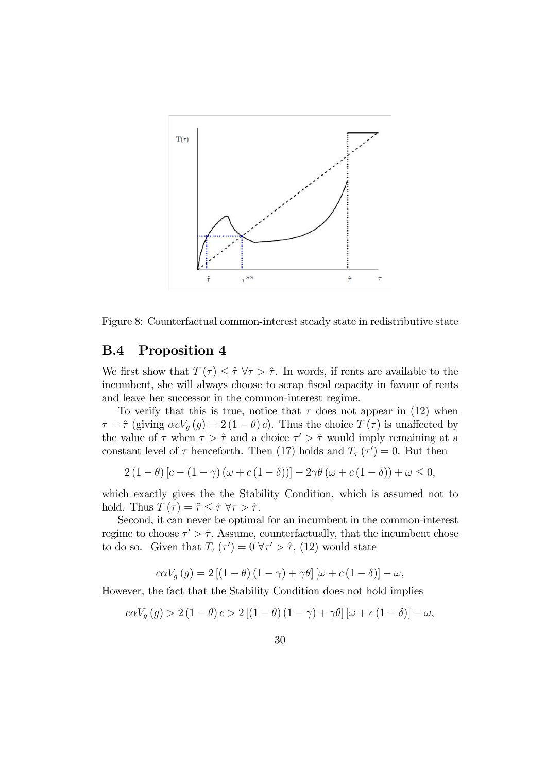

Figure 8: Counterfactual common-interest steady state in redistributive state

### B.4 Proposition 4

We first show that  $T(\tau) \leq \hat{\tau} \,\forall \tau > \hat{\tau}$ . In words, if rents are available to the incumbent, she will always choose to scrap fiscal capacity in favour of rents and leave her successor in the common-interest regime.

To verify that this is true, notice that  $\tau$  does not appear in (12) when  $\tau = \hat{\tau}$  (giving  $\alpha cV_g(g) = 2(1 - \theta)c$ ). Thus the choice  $T(\tau)$  is unaffected by the value of  $\tau$  when  $\tau > \hat{\tau}$  and a choice  $\tau' > \hat{\tau}$  would imply remaining at a constant level of  $\tau$  henceforth. Then (17) holds and  $T_{\tau}(\tau')=0$ . But then

$$
2(1 - \theta) [c - (1 - \gamma) (\omega + c(1 - \delta))] - 2\gamma \theta (\omega + c(1 - \delta)) + \omega \leq 0,
$$

which exactly gives the the Stability Condition, which is assumed not to hold. Thus  $T(\tau) = \tilde{\tau} \leq \hat{\tau} \ \forall \tau > \hat{\tau}$ .

Second, it can never be optimal for an incumbent in the common-interest regime to choose  $\tau' > \hat{\tau}$ . Assume, counterfactually, that the incumbent chose to do so. Given that  $T_{\tau}(\tau') = 0 \ \forall \tau' > \hat{\tau}$ , (12) would state

$$
c\alpha V_g(g) = 2\left[ (1-\theta)(1-\gamma) + \gamma\theta \right] [\omega + c(1-\delta)] - \omega,
$$

However, the fact that the Stability Condition does not hold implies

$$
c\alpha V_g(g) > 2(1-\theta)c > 2[(1-\theta)(1-\gamma) + \gamma\theta] [\omega + c(1-\delta)] - \omega,
$$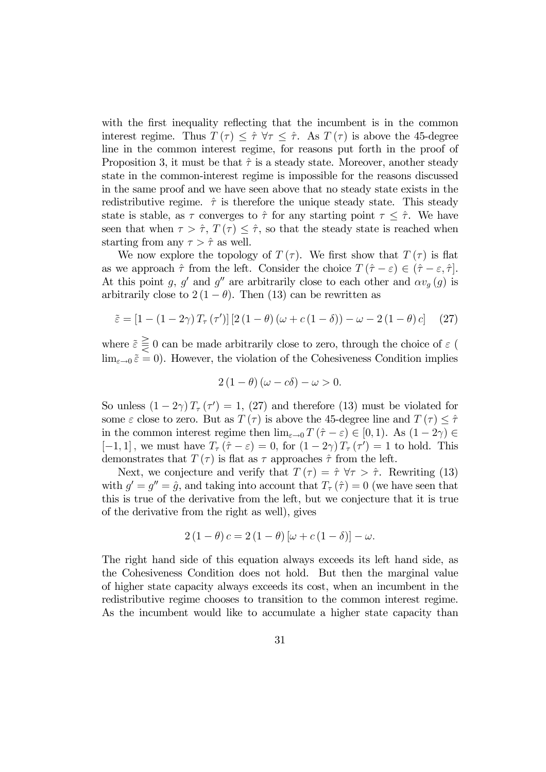with the first inequality reflecting that the incumbent is in the common interest regime. Thus  $T(\tau) \leq \hat{\tau} \forall \tau \leq \hat{\tau}$ . As  $T(\tau)$  is above the 45-degree line in the common interest regime, for reasons put forth in the proof of Proposition 3, it must be that  $\hat{\tau}$  is a steady state. Moreover, another steady state in the common-interest regime is impossible for the reasons discussed in the same proof and we have seen above that no steady state exists in the redistributive regime.  $\hat{\tau}$  is therefore the unique steady state. This steady state is stable, as  $\tau$  converges to  $\hat{\tau}$  for any starting point  $\tau \leq \hat{\tau}$ . We have seen that when  $\tau > \hat{\tau}$ ,  $T(\tau) \leq \hat{\tau}$ , so that the steady state is reached when starting from any  $\tau > \hat{\tau}$  as well.

We now explore the topology of  $T(\tau)$ . We first show that  $T(\tau)$  is flat as we approach  $\hat{\tau}$  from the left. Consider the choice  $T(\hat{\tau} - \varepsilon) \in (\hat{\tau} - \varepsilon, \hat{\tau})$ . At this point g, g' and g'' are arbitrarily close to each other and  $\alpha v_g(g)$  is arbitrarily close to  $2(1 - \theta)$ . Then (13) can be rewritten as

$$
\tilde{\varepsilon} = [1 - (1 - 2\gamma) T_{\tau} (\tau')] [2 (1 - \theta) (\omega + c (1 - \delta)) - \omega - 2 (1 - \theta) c] \tag{27}
$$

where  $\tilde{\varepsilon} \geq 0$  can be made arbitrarily close to zero, through the choice of  $\varepsilon$  (  $\lim_{\varepsilon\to 0} \tilde{\varepsilon} = 0$ . However, the violation of the Cohesiveness Condition implies

$$
2(1 - \theta)(\omega - c\delta) - \omega > 0.
$$

So unless  $(1-2\gamma)T_{\tau}(\tau')=1$ , (27) and therefore (13) must be violated for some  $\varepsilon$  close to zero. But as  $T(\tau)$  is above the 45-degree line and  $T(\tau) \leq \hat{\tau}$ in the common interest regime then  $\lim_{\varepsilon \to 0} T(\hat{\tau} - \varepsilon) \in [0,1)$ . As  $(1 - 2\gamma) \in$  $[-1, 1]$ , we must have  $T_{\tau}(\hat{\tau} - \varepsilon) = 0$ , for  $(1 - 2\gamma)T_{\tau}(\tau') = 1$  to hold. This demonstrates that  $T(\tau)$  is flat as  $\tau$  approaches  $\hat{\tau}$  from the left.

Next, we conjecture and verify that  $T(\tau) = \hat{\tau} \ \forall \tau > \hat{\tau}$ . Rewriting (13) with  $g' = g'' = \hat{g}$ , and taking into account that  $T_{\tau}(\hat{\tau})=0$  (we have seen that this is true of the derivative from the left, but we conjecture that it is true of the derivative from the right as well), gives

$$
2(1 - \theta)c = 2(1 - \theta) [\omega + c(1 - \delta)] - \omega.
$$

The right hand side of this equation always exceeds its left hand side, as the Cohesiveness Condition does not hold. But then the marginal value of higher state capacity always exceeds its cost, when an incumbent in the redistributive regime chooses to transition to the common interest regime. As the incumbent would like to accumulate a higher state capacity than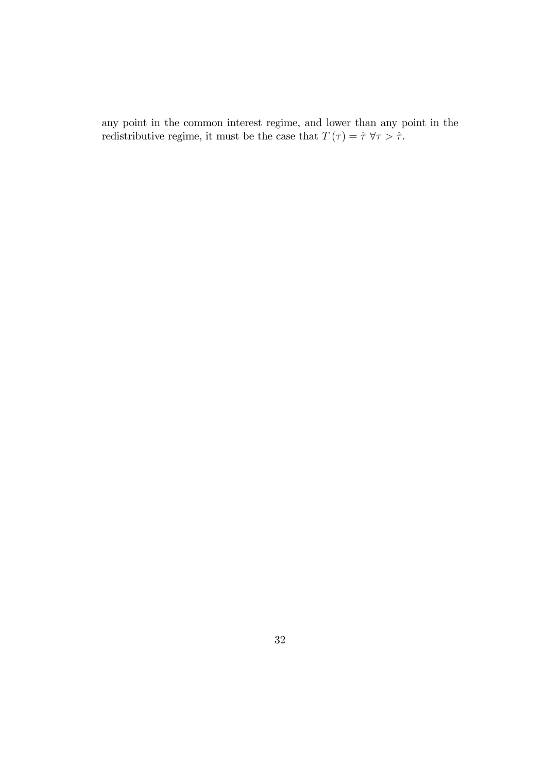any point in the common interest regime, and lower than any point in the redistributive regime, it must be the case that  $T(\tau) = \hat{\tau} \,\forall \tau > \hat{\tau}$ .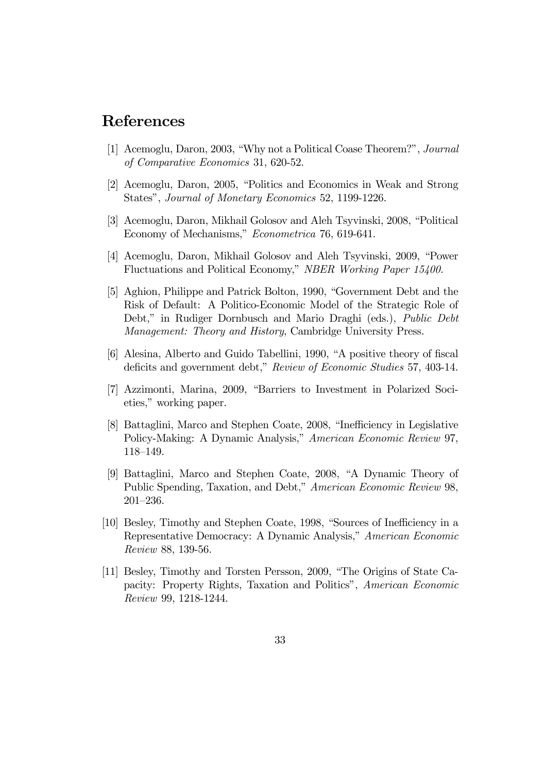## References

- [1] Acemoglu, Daron, 2003, "Why not a Political Coase Theorem?", Journal of Comparative Economics 31, 620-52.
- [2] Acemoglu, Daron, 2005, "Politics and Economics in Weak and Strong States", Journal of Monetary Economics 52, 1199-1226.
- [3] Acemoglu, Daron, Mikhail Golosov and Aleh Tsyvinski, 2008, "Political Economy of Mechanisms," Econometrica 76, 619-641.
- [4] Acemoglu, Daron, Mikhail Golosov and Aleh Tsyvinski, 2009, "Power Fluctuations and Political Economy," NBER Working Paper 15400.
- [5] Aghion, Philippe and Patrick Bolton, 1990, "Government Debt and the Risk of Default: A Politico-Economic Model of the Strategic Role of Debt," in Rudiger Dornbusch and Mario Draghi (eds.), Public Debt Management: Theory and History, Cambridge University Press.
- [6] Alesina, Alberto and Guido Tabellini, 1990, "A positive theory of fiscal deficits and government debt," Review of Economic Studies 57, 403-14.
- [7] Azzimonti, Marina, 2009, "Barriers to Investment in Polarized Societies," working paper.
- [8] Battaglini, Marco and Stephen Coate, 2008, "Inefficiency in Legislative Policy-Making: A Dynamic Analysis," American Economic Review 97, 118—149.
- [9] Battaglini, Marco and Stephen Coate, 2008, "A Dynamic Theory of Public Spending, Taxation, and Debt," American Economic Review 98, 201—236.
- [10] Besley, Timothy and Stephen Coate, 1998, "Sources of Inefficiency in a Representative Democracy: A Dynamic Analysis," American Economic Review 88, 139-56.
- [11] Besley, Timothy and Torsten Persson, 2009, "The Origins of State Capacity: Property Rights, Taxation and Politics", American Economic Review 99, 1218-1244.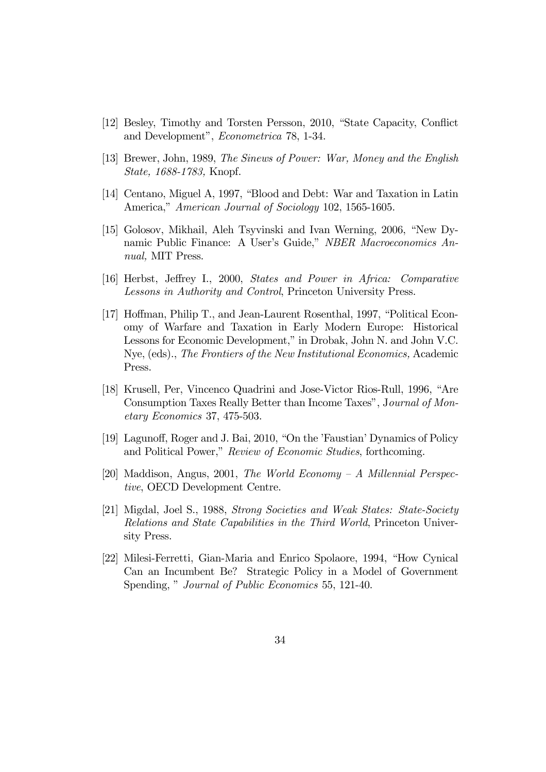- [12] Besley, Timothy and Torsten Persson, 2010, "State Capacity, Conflict and Development", Econometrica 78, 1-34.
- [13] Brewer, John, 1989, The Sinews of Power: War, Money and the English State, 1688-1783, Knopf.
- [14] Centano, Miguel A, 1997, "Blood and Debt: War and Taxation in Latin America," American Journal of Sociology 102, 1565-1605.
- [15] Golosov, Mikhail, Aleh Tsyvinski and Ivan Werning, 2006, "New Dynamic Public Finance: A User's Guide," NBER Macroeconomics Annual, MIT Press.
- [16] Herbst, Jeffrey I., 2000, States and Power in Africa: Comparative Lessons in Authority and Control, Princeton University Press.
- [17] Hoffman, Philip T., and Jean-Laurent Rosenthal, 1997, "Political Economy of Warfare and Taxation in Early Modern Europe: Historical Lessons for Economic Development," in Drobak, John N. and John V.C. Nye, (eds)., The Frontiers of the New Institutional Economics, Academic Press.
- [18] Krusell, Per, Vincenco Quadrini and Jose-Victor Rios-Rull, 1996, "Are Consumption Taxes Really Better than Income Taxes", Journal of Monetary Economics 37, 475-503.
- [19] Lagunoff, Roger and J. Bai, 2010, "On the 'Faustian' Dynamics of Policy and Political Power," Review of Economic Studies, forthcoming.
- [20] Maddison, Angus, 2001, The World Economy A Millennial Perspective, OECD Development Centre.
- [21] Migdal, Joel S., 1988, Strong Societies and Weak States: State-Society Relations and State Capabilities in the Third World, Princeton University Press.
- [22] Milesi-Ferretti, Gian-Maria and Enrico Spolaore, 1994, "How Cynical Can an Incumbent Be? Strategic Policy in a Model of Government Spending, " Journal of Public Economics 55, 121-40.